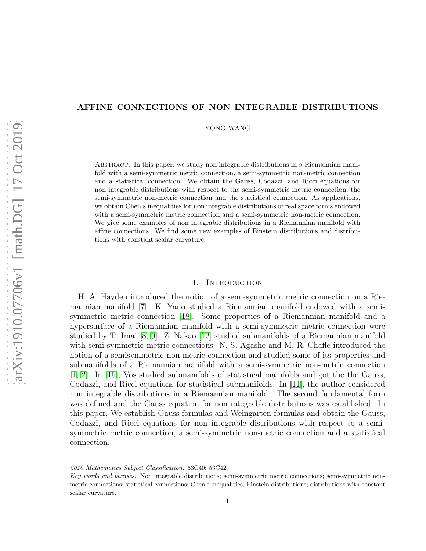# AFFINE CONNECTIONS OF NON INTEGRABLE DISTRIBUTIONS

YONG WANG

Abstract. In this paper, we study non integrable distributions in a Riemannian manifold with a semi-symmetric metric connection, a semi-symmetric non-metric connection and a statistical connection. We obtain the Gauss, Codazzi, and Ricci equations for non integrable distributions with respect to the semi-symmetric metric connection, the semi-symmetric non-metric connection and the statistical connection. As applications, we obtain Chen's inequalities for non integrable distributions of real space forms endowed with a semi-symmetric metric connection and a semi-symmetric non-metric connection. We give some examples of non integrable distributions in a Riemannian manifold with affine connections. We find some new examples of Einstein distributions and distributions with constant scalar curvature.

#### 1. INTRODUCTION

H. A. Hayden introduced the notion of a semi-symmetric metric connection on a Riemannian manifold [\[7\]](#page-26-0). K. Yano studied a Riemannian manifold endowed with a semisymmetric metric connection [\[18\]](#page-27-0). Some properties of a Riemannian manifold and a hypersurface of a Riemannian manifold with a semi-symmetric metric connection were studied by T. Imai [\[8,](#page-26-1) [9\]](#page-26-2). Z. Nakao [\[12\]](#page-27-1) studied submanifolds of a Riemannian manifold with semi-symmetric metric connections. N. S. Agashe and M. R. Chafle introduced the notion of a semisymmetric non-metric connection and studied some of its properties and submanifolds of a Riemannian manifold with a semi-symmetric non-metric connection [\[1,](#page-26-3) [2\]](#page-26-4). In [\[15\]](#page-27-2), Vos studied submanifolds of statistical manifolds and got the the Gauss, Codazzi, and Ricci equations for statistical submanifolds. In [\[11\]](#page-27-3), the author considered non integrable distributions in a Riemannian manifold. The second fundamental form was defined and the Gauss equation for non integrable distributions was established. In this paper, We establish Gauss formulas and Weingarten formulas and obtain the Gauss, Codazzi, and Ricci equations for non integrable distributions with respect to a semisymmetric metric connection, a semi-symmetric non-metric connection and a statistical connection.

<sup>2010</sup> Mathematics Subject Classification: 53C40; 53C42.

Key words and phrases: Non integrable distributions; semi-symmetric metric connections; semi-symmetric nonmetric connections; statistical connections; Chen's inequalities, Einstein distributions; distributions with constant scalar curvature.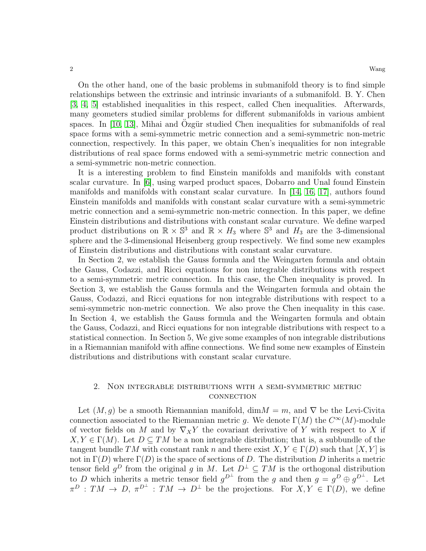On the other hand, one of the basic problems in submanifold theory is to find simple relationships between the extrinsic and intrinsic invariants of a submanifold. B. Y. Chen [\[3,](#page-26-5) [4,](#page-26-6) [5\]](#page-26-7) established inequalities in this respect, called Chen inequalities. Afterwards, many geometers studied similar problems for different submanifolds in various ambient spaces. In  $[10, 13]$  $[10, 13]$ , Mihai and Ozgür studied Chen inequalities for submanifolds of real space forms with a semi-symmetric metric connection and a semi-symmetric non-metric connection, respectively. In this paper, we obtain Chen's inequalities for non integrable distributions of real space forms endowed with a semi-symmetric metric connection and a semi-symmetric non-metric connection.

It is a interesting problem to find Einstein manifolds and manifolds with constant scalar curvature. In [\[6\]](#page-26-9), using warped product spaces, Dobarro and Unal found Einstein manifolds and manifolds with constant scalar curvature. In [\[14,](#page-27-5) [16,](#page-27-6) [17\]](#page-27-7), authors found Einstein manifolds and manifolds with constant scalar curvature with a semi-symmetric metric connection and a semi-symmetric non-metric connection. In this paper, we define Einstein distributions and distributions with constant scalar curvature. We define warped product distributions on  $\mathbb{R} \times \mathbb{S}^3$  and  $\mathbb{R} \times H_3$  where  $\mathbb{S}^3$  and  $H_3$  are the 3-dimensional sphere and the 3-dimensional Heisenberg group respectively. We find some new examples of Einstein distributions and distributions with constant scalar curvature.

In Section 2, we establish the Gauss formula and the Weingarten formula and obtain the Gauss, Codazzi, and Ricci equations for non integrable distributions with respect to a semi-symmetric metric connection. In this case, the Chen inequality is proved. In Section 3, we establish the Gauss formula and the Weingarten formula and obtain the Gauss, Codazzi, and Ricci equations for non integrable distributions with respect to a semi-symmetric non-metric connection. We also prove the Chen inequality in this case. In Section 4, we establish the Gauss formula and the Weingarten formula and obtain the Gauss, Codazzi, and Ricci equations for non integrable distributions with respect to a statistical connection. In Section 5, We give some examples of non integrable distributions in a Riemannian manifold with affine connections. We find some new examples of Einstein distributions and distributions with constant scalar curvature.

### 2. Non integrable distributions with a semi-symmetric metric **CONNECTION**

Let  $(M, g)$  be a smooth Riemannian manifold, dim $M = m$ , and  $\nabla$  be the Levi-Civita connection associated to the Riemannian metric g. We denote  $\Gamma(M)$  the  $C^{\infty}(M)$ -module of vector fields on M and by  $\nabla_X Y$  the covariant derivative of Y with respect to X if  $X, Y \in \Gamma(M)$ . Let  $D \subseteq TM$  be a non integrable distribution; that is, a subbundle of the tangent bundle TM with constant rank n and there exist  $X, Y \in \Gamma(D)$  such that  $[X, Y]$  is not in  $\Gamma(D)$  where  $\Gamma(D)$  is the space of sections of D. The distribution D inherits a metric tensor field  $g^D$  from the original g in M. Let  $D^{\perp} \subseteq TM$  is the orthogonal distribution to D which inherits a metric tensor field  $g^{D^{\perp}}$  from the g and then  $g = g^{D} \oplus g^{D^{\perp}}$ . Let  $\pi^D: TM \to D, \pi^{D^{\perp}}: TM \to D^{\perp}$  be the projections. For  $X, Y \in \Gamma(D)$ , we define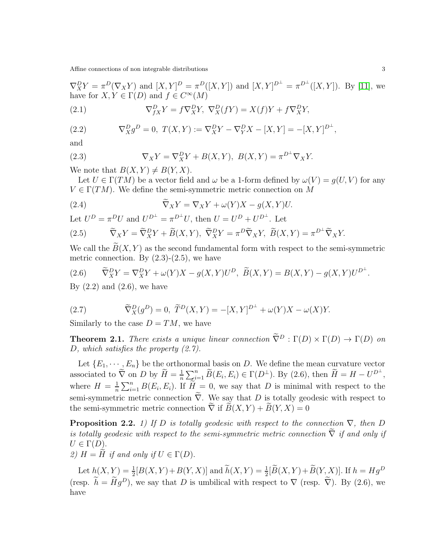$\nabla^D_X Y = \pi^D (\nabla_X Y)$  and  $[X, Y]^D = \pi^D ([X, Y])$  and  $[X, Y]^{D^{\perp}} = \pi^{D^{\perp}} ([X, Y])$ . By [\[11\]](#page-27-3), we have for  $X, Y \in \Gamma(D)$  and  $f \in C^{\infty}(M)$ 

(2.1) 
$$
\nabla_{fX}^{D} Y = f \nabla_{X}^{D} Y, \ \nabla_{X}^{D} (fY) = X(f)Y + f \nabla_{X}^{D} Y,
$$

(2.2) 
$$
\nabla_X^D g^D = 0, T(X, Y) := \nabla_X^D Y - \nabla_Y^D X - [X, Y] = -[X, Y]^{D^{\perp}},
$$

and

(2.3) 
$$
\nabla_X Y = \nabla_X^D Y + B(X, Y), B(X, Y) = \pi^{D^{\perp}} \nabla_X Y.
$$

We note that  $B(X, Y) \neq B(Y, X)$ .

Let  $U \in \Gamma(TM)$  be a vector field and  $\omega$  be a 1-form defined by  $\omega(V) = g(U, V)$  for any  $V \in \Gamma(TM)$ . We define the semi-symmetric metric connection on M

(2.4) 
$$
\widetilde{\nabla}_X Y = \nabla_X Y + \omega(Y) X - g(X, Y) U.
$$

Let  $U^D = \pi^D U$  and  $U^{D^{\perp}} = \pi^{D^{\perp}} U$ , then  $U = U^D + U^{D^{\perp}}$ . Let

(2.5) 
$$
\widetilde{\nabla}_X Y = \widetilde{\nabla}_X^D Y + \widetilde{B}(X, Y), \ \widetilde{\nabla}_X^D Y = \pi^D \widetilde{\nabla}_X Y, \ \widetilde{B}(X, Y) = \pi^{D^\perp} \widetilde{\nabla}_X Y.
$$

We call the  $B(X, Y)$  as the second fundamental form with respect to the semi-symmetric metric connection. By  $(2.3)-(2.5)$ , we have

(2.6) 
$$
\widetilde{\nabla}_X^D Y = \nabla_X^D Y + \omega(Y)X - g(X,Y)U^D, \ \widetilde{B}(X,Y) = B(X,Y) - g(X,Y)U^{D^{\perp}}.
$$

By  $(2.2)$  and  $(2.6)$ , we have

(2.7) 
$$
\widetilde{\nabla}_X^D(g^D) = 0, \ \widetilde{T}^D(X, Y) = -[X, Y]^{D^{\perp}} + \omega(Y)X - \omega(X)Y.
$$

Similarly to the case  $D = TM$ , we have

**Theorem 2.1.** *There exists a unique linear connection*  $\tilde{\nabla}^D : \Gamma(D) \times \Gamma(D) \to \Gamma(D)$  *on* D*, which satisfies the property (2.7).*

Let  $\{E_1, \dots, E_n\}$  be the orthonormal basis on D. We define the mean curvature vector associated to  $\tilde{\nabla}$  on D by  $\tilde{H} = \frac{1}{n}$  $\frac{1}{n}\sum_{i=1}^{n} \widetilde{B}(E_i, E_i) \in \Gamma(D^{\perp}).$  By (2.6), then  $\widetilde{H} = H - U^{D^{\perp}},$ where  $H=\frac{1}{n}$  $\frac{1}{n}\sum_{i=1}^{n}B(E_i, E_i)$ . If  $\widetilde{H}=0$ , we say that D is minimal with respect to the semi-symmetric metric connection  $\tilde{\nabla}$ . We say that D is totally geodesic with respect to the semi-symmetric metric connection  $\tilde{\nabla}$  if  $\tilde{B}(X, Y) + \tilde{B}(Y, X) = 0$ 

**Proposition 2.2.** *1)* If D *is totally geodesic with respect to the connection*  $\nabla$ *, then* D *is totally geodesic with respect to the semi-symmetric metric connection*  $\tilde{\nabla}$  *if and only if*  $U \in \Gamma(D).$ 

*2)*  $H = H$  *if and only if*  $U \in \Gamma(D)$ .

Let  $h(X, Y) = \frac{1}{2}[B(X, Y) + B(Y, X)]$  and  $h(X, Y) = \frac{1}{2}[B(X, Y) + B(Y, X)]$ . If  $h = Hg^D$ (resp.  $\tilde{h} = \tilde{H}q^D$ ), we say that D is umbilical with respect to  $\nabla$  (resp.  $\tilde{\nabla}$ ). By (2.6), we have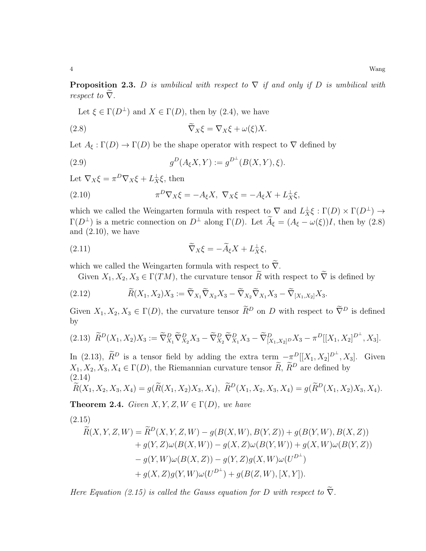**Proposition 2.3.** D *is umbilical with respect to*  $\nabla$  *if and only if* D *is umbilical with respect to*  $\overline{\nabla}$ *.* 

Let  $\xi \in \Gamma(D^{\perp})$  and  $X \in \Gamma(D)$ , then by (2.4), we have

(2.8) 
$$
\widetilde{\nabla}_X \xi = \nabla_X \xi + \omega(\xi) X.
$$

Let  $A_{\xi} : \Gamma(D) \to \Gamma(D)$  be the shape operator with respect to  $\nabla$  defined by

(2.9) 
$$
g^{D}(A_{\xi}X,Y) := g^{D^{\perp}}(B(X,Y),\xi).
$$

Let  $\nabla_X \xi = \pi^D \nabla_X \xi + L_X^{\perp} \xi$ , then

(2.10) 
$$
\pi^D \nabla_X \xi = -A_\xi X, \ \nabla_X \xi = -A_\xi X + L_X^{\perp} \xi,
$$

which we called the Weingarten formula with respect to  $\nabla$  and  $L^{\perp}_X \xi : \Gamma(D) \times \Gamma(D^{\perp}) \to$ Γ(D<sup>⊥</sup>) is a metric connection on D<sup>⊥</sup> along Γ(D). Let  $\widetilde{A}_{\xi} = (A_{\xi} - \omega(\xi))I$ , then by (2.8) and  $(2.10)$ , we have

(2.11) 
$$
\widetilde{\nabla}_X \xi = -\widetilde{A}_{\xi} X + L_X^{\perp} \xi,
$$

which we called the Weingarten formula with respect to  $\widetilde{\nabla}.$ 

Given  $X_1, X_2, X_3 \in \Gamma(TM)$ , the curvature tensor  $\widetilde{R}$  with respect to  $\widetilde{\nabla}$  is defined by

(2.12) 
$$
\widetilde{R}(X_1, X_2)X_3 := \widetilde{\nabla}_{X_1}\widetilde{\nabla}_{X_2}X_3 - \widetilde{\nabla}_{X_2}\widetilde{\nabla}_{X_1}X_3 - \widetilde{\nabla}_{[X_1, X_2]}X_3.
$$

Given  $X_1, X_2, X_3 \in \Gamma(D)$ , the curvature tensor  $\widetilde{R}^D$  on D with respect to  $\widetilde{\nabla}^D$  is defined by

$$
(2.13)\ \widetilde{R}^{D}(X_1, X_2)X_3 := \widetilde{\nabla}^{D}_{X_1}\widetilde{\nabla}^{D}_{X_2}X_3 - \widetilde{\nabla}^{D}_{X_2}\widetilde{\nabla}^{D}_{X_1}X_3 - \widetilde{\nabla}^{D}_{[X_1, X_2]^D}X_3 - \pi^D[[X_1, X_2]^{D^{\perp}}, X_3].
$$

In (2.13),  $\widetilde{R}^D$  is a tensor field by adding the extra term  $-\pi^D[[X_1, X_2]^{D^{\perp}}, X_3]$ . Given  $X_1, X_2, X_3, X_4 \in \Gamma(D)$ , the Riemannian curvature tensor  $\widetilde{R}$ ,  $\widetilde{R}^D$  are defined by (2.14)

$$
\widetilde{R}(X_1, X_2, X_3, X_4) = g(\widetilde{R}(X_1, X_2)X_3, X_4), \ \widetilde{R}^D(X_1, X_2, X_3, X_4) = g(\widetilde{R}^D(X_1, X_2)X_3, X_4).
$$

**Theorem 2.4.** *Given*  $X, Y, Z, W \in \Gamma(D)$ *, we have* 

$$
(2.15)
$$

$$
\widetilde{R}(X, Y, Z, W) = \widetilde{R}^{D}(X, Y, Z, W) - g(B(X, W), B(Y, Z)) + g(B(Y, W), B(X, Z)) \n+ g(Y, Z)\omega(B(X, W)) - g(X, Z)\omega(B(Y, W)) + g(X, W)\omega(B(Y, Z)) \n- g(Y, W)\omega(B(X, Z)) - g(Y, Z)g(X, W)\omega(U^{D^{\perp}}) \n+ g(X, Z)g(Y, W)\omega(U^{D^{\perp}}) + g(B(Z, W), [X, Y]).
$$

*Here Equation (2.15) is called the Gauss equation for* D with respect to  $\tilde{\nabla}$ .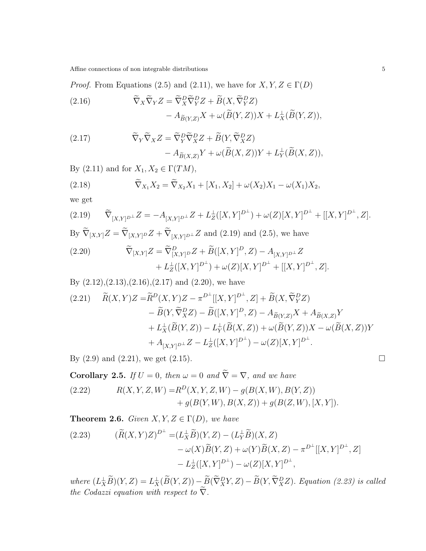Affine connections of non integrable distributions 5 5 5 5 6  $\,$ 

*Proof.* From Equations (2.5) and (2.11), we have for  $X, Y, Z \in \Gamma(D)$ 

(2.16) 
$$
\widetilde{\nabla}_X \widetilde{\nabla}_Y Z = \widetilde{\nabla}_X^D \widetilde{\nabla}_Y^D Z + \widetilde{B}(X, \widetilde{\nabla}_Y^D Z) - A_{\widetilde{B}(Y,Z)} X + \omega (\widetilde{B}(Y,Z)) X + L_X^{\perp} (\widetilde{B}(Y,Z)),
$$

(2.17) 
$$
\widetilde{\nabla}_Y \widetilde{\nabla}_X Z = \widetilde{\nabla}_Y^D \widetilde{\nabla}_X^D Z + \widetilde{B}(Y, \widetilde{\nabla}_X^D Z) - A_{\widetilde{B}(X,Z)} Y + \omega(\widetilde{B}(X,Z))Y + L_Y^{\perp}(\widetilde{B}(X,Z)),
$$

By (2.11) and for  $X_1, X_2 \in \Gamma(TM)$ ,

(2.18) 
$$
\widetilde{\nabla}_{X_1} X_2 = \widetilde{\nabla}_{X_2} X_1 + [X_1, X_2] + \omega(X_2) X_1 - \omega(X_1) X_2,
$$

we get

(2.19) 
$$
\widetilde{\nabla}_{[X,Y]^{D^{\perp}}} Z = -A_{[X,Y]^{D^{\perp}}} Z + L_Z^{\perp}([X,Y]^{D^{\perp}}) + \omega(Z)[X,Y]^{D^{\perp}} + [[X,Y]^{D^{\perp}}, Z].
$$
  
By  $\widetilde{\nabla}_{[X,Y]} Z = \widetilde{\nabla}_{[X,Y]^{D}} Z + \widetilde{\nabla}_{[X,Y]^{D^{\perp}}} Z$  and (2.19) and (2.5), we have

(2.20) 
$$
\widetilde{\nabla}_{[X,Y]}Z = \widetilde{\nabla}^{D}_{[X,Y]}D Z + \widetilde{B}([X,Y]^{D}, Z) - A_{[X,Y]^{D^{\perp}}}Z + L_{Z}^{\perp}([X,Y]^{D^{\perp}}) + \omega(Z)[X,Y]^{D^{\perp}} + [[X,Y]^{D^{\perp}}, Z].
$$

By (2.12),(2.13),(2.16),(2.17) and (2.20), we have  
\n(2.21) 
$$
\widetilde{R}(X,Y)Z = \widetilde{R}^{D}(X,Y)Z - \pi^{D^{\perp}}[[X,Y]^{D^{\perp}},Z] + \widetilde{B}(X,\widetilde{\nabla}_{Y}^{D}Z)
$$
  
\n $- \widetilde{B}(Y,\widetilde{\nabla}_{X}^{D}Z) - \widetilde{B}([X,Y]^{D},Z) - A_{\widetilde{B}(Y,Z)}X + A_{\widetilde{B}(X,Z)}Y$   
\n $+ L_{X}^{\perp}(\widetilde{B}(Y,Z)) - L_{Y}^{\perp}(\widetilde{B}(X,Z)) + \omega(\widetilde{B}(Y,Z))X - \omega(\widetilde{B}(X,Z))Y$   
\n $+ A_{[X,Y]^{D^{\perp}}}Z - L_{Z}^{\perp}([X,Y]^{D^{\perp}}) - \omega(Z)[X,Y]^{D^{\perp}}.$ 

By  $(2.9)$  and  $(2.21)$ , we get  $(2.15)$ .

**Corollary 2.5.** *If*  $U = 0$ *, then*  $\omega = 0$  *and*  $\tilde{\nabla} = \nabla$ *, and we have*  $P(Y|X|Z|W) - P(Y|X|Z|W) - P(Y|W|Z)P(Y|W)$ 

(2.22) 
$$
R(X, Y, Z, W) = R^{D}(X, Y, Z, W) - g(B(X, W), B(Y, Z)) + g(B(Y, W), B(X, Z)) + g(B(Z, W), [X, Y]).
$$

**Theorem 2.6.** *Given*  $X, Y, Z \in \Gamma(D)$ *, we have* 

(2.23) 
$$
(\widetilde{R}(X,Y)Z)^{D^{\perp}} = (L_X^{\perp} \widetilde{B})(Y,Z) - (L_Y^{\perp} \widetilde{B})(X,Z) - \omega(X)\widetilde{B}(Y,Z) + \omega(Y)\widetilde{B}(X,Z) - \pi^{D^{\perp}}[[X,Y]^{D^{\perp}}, Z] - L_Z^{\perp}([X,Y]^{D^{\perp}}) - \omega(Z)[X,Y]^{D^{\perp}},
$$

 $where (L_X^{\perp}B)(Y,Z) = L_X^{\perp}(\overline{B}(Y,Z)) - \overline{B}(\nabla_X^D Y,Z) - \overline{B}(Y,\nabla_X^D Z)$ . *Equation (2.23)* is called *the Codazzi equation with respect to*  $\nabla$ *.*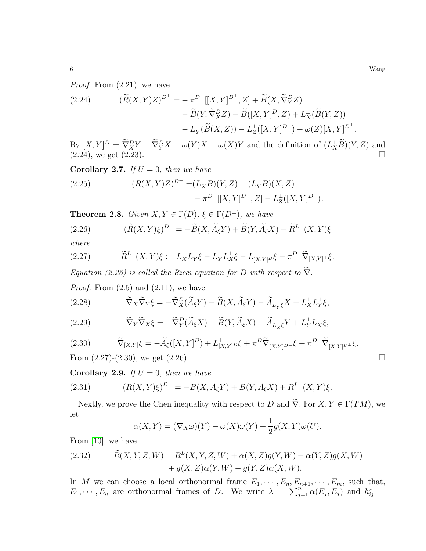*Proof.* From (2.21), we have

(2.24) 
$$
(\widetilde{R}(X,Y)Z)^{D^{\perp}} = -\pi^{D^{\perp}}[[X,Y]^{D^{\perp}},Z] + \widetilde{B}(X,\widetilde{\nabla}^D_Y Z) \n- \widetilde{B}(Y,\widetilde{\nabla}^D_X Z) - \widetilde{B}([X,Y]^D,Z) + L^{\perp}_X(\widetilde{B}(Y,Z)) \n- L^{\perp}_Y(\widetilde{B}(X,Z)) - L^{\perp}_Z([X,Y]^{D^{\perp}}) - \omega(Z)[X,Y]^{D^{\perp}}.
$$

 $\mathbf{B}\mathbf{y}[X,Y]^D = \nabla^D_X Y - \nabla^D_Y X - \omega(Y)X + \omega(X)Y$  and the definition of  $(L_X^{\perp}B)(Y,Z)$  and  $(2.24)$ , we get  $(2.23)$ .

**Corollary 2.7.** *If*  $U = 0$ *, then we have* (2.25)  $(R(X,Y)Z)^{D^{\perp}} = (L_X^{\perp}B)(Y,Z) - (L_Y^{\perp}B)(X,Z)$  $-\pi^{D^{\perp}}[[X,Y]^{D^{\perp}},Z] - L_Z^{\perp}([X,Y]^{D^{\perp}}).$ 

**Theorem 2.8.** *Given*  $X, Y \in \Gamma(D)$ *,*  $\xi \in \Gamma(D^{\perp})$ *, we have* 

(2.26) 
$$
(\widetilde{R}(X,Y)\xi)^{D^{\perp}} = -\widetilde{B}(X,\widetilde{A}_{\xi}Y) + \widetilde{B}(Y,\widetilde{A}_{\xi}X) + \widetilde{R}^{L^{\perp}}(X,Y)\xi
$$

*where*

(2.27) 
$$
\widetilde{R}^{L^{\perp}}(X,Y)\xi := L_X^{\perp}L_Y^{\perp}\xi - L_Y^{\perp}L_X^{\perp}\xi - L_{[X,Y]}^{\perp}\delta - \pi^{D^{\perp}}\widetilde{\nabla}_{[X,Y]^{\perp}}\xi.
$$

*Equation (2.26) is called the Ricci equation for* D *with respect to*  $\nabla$ *.* 

*Proof.* From  $(2.5)$  and  $(2.11)$ , we have

(2.28) 
$$
\widetilde{\nabla}_X \widetilde{\nabla}_Y \xi = -\widetilde{\nabla}_X^D (\widetilde{A}_{\xi} Y) - \widetilde{B}(X, \widetilde{A}_{\xi} Y) - \widetilde{A}_{L_Y^{\perp} \xi} X + L_X^{\perp} L_Y^{\perp} \xi,
$$

(2.29) 
$$
\widetilde{\nabla}_Y \widetilde{\nabla}_X \xi = -\widetilde{\nabla}_Y^D (\widetilde{A}_{\xi} X) - \widetilde{B}(Y, \widetilde{A}_{\xi} X) - \widetilde{A}_{L_X^{\perp} \xi} Y + L_Y^{\perp} L_X^{\perp} \xi,
$$

$$
(2.30) \qquad \widetilde{\nabla}_{[X,Y]}\xi = -\widetilde{A}_{\xi}([X,Y]^D) + L_{[X,Y]^D}^{\perp}\xi + \pi^D \widetilde{\nabla}_{[X,Y]^D^{\perp}}\xi + \pi^{D^{\perp}} \widetilde{\nabla}_{[X,Y]^D^{\perp}}\xi.
$$

From  $(2.27)-(2.30)$ , we get  $(2.26)$ .

**Corollary 2.9.** *If*  $U = 0$ *, then we have* 

(2.31) 
$$
(R(X,Y)\xi)^{D^{\perp}} = -B(X,A_{\xi}Y) + B(Y,A_{\xi}X) + R^{L^{\perp}}(X,Y)\xi.
$$

Nextly, we prove the Chen inequality with respect to D and  $\widetilde{\nabla}$ . For  $X, Y \in \Gamma(TM)$ , we let

$$
\alpha(X,Y) = (\nabla_X \omega)(Y) - \omega(X)\omega(Y) + \frac{1}{2}g(X,Y)\omega(U).
$$

From [\[10\]](#page-26-8), we have

(2.32) 
$$
\widetilde{R}(X,Y,Z,W) = R^{L}(X,Y,Z,W) + \alpha(X,Z)g(Y,W) - \alpha(Y,Z)g(X,W) + g(X,Z)\alpha(Y,W) - g(Y,Z)\alpha(X,W).
$$

In M we can choose a local orthonormal frame  $E_1, \dots, E_n, E_{n+1}, \dots, E_m$ , such that,  $E_1, \dots, E_n$  are orthonormal frames of D. We write  $\lambda = \sum_{j=1}^n \alpha(E_j, E_j)$  and  $h_{ij}^r =$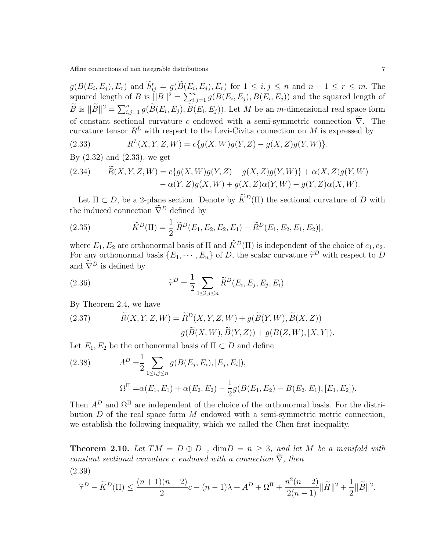$g(B(E_i, E_j), E_r)$  and  $h_{ij}^r = g(\widetilde{B}(E_i, E_j), E_r)$  for  $1 \le i, j \le n$  and  $n + 1 \le r \le m$ . The squared length of B is  $||B||^2 = \sum_{i,j=1}^n g(B(E_i, E_j), B(E_i, E_j))$  and the squared length of  $\widetilde{B}$  is  $||\widetilde{B}||^2 = \sum_{i,j=1}^n g(\widetilde{B}(E_i,E_j), \widetilde{B}(E_i,E_j)).$  Let M be an m-dimensional real space form of constant sectional curvature c endowed with a semi-symmetric connection  $\tilde{\nabla}$ . The curvature tensor  $R^L$  with respect to the Levi-Civita connection on M is expressed by

(2.33) 
$$
R^{L}(X, Y, Z, W) = c\{g(X, W)g(Y, Z) - g(X, Z)g(Y, W)\}.
$$

By (2.32) and (2.33), we get

(2.34) 
$$
R(X, Y, Z, W) = c\{g(X, W)g(Y, Z) - g(X, Z)g(Y, W)\} + \alpha(X, Z)g(Y, W) - \alpha(Y, Z)g(X, W) + g(X, Z)\alpha(Y, W) - g(Y, Z)\alpha(X, W).
$$

Let  $\Pi \subset D$ , be a 2-plane section. Denote by  $\widetilde{K}^D(\Pi)$  the sectional curvature of D with the induced connection  $\tilde{\nabla}^D$  defined by

(2.35) 
$$
\widetilde{K}^D(\Pi) = \frac{1}{2} [\widetilde{R}^D(E_1, E_2, E_2, E_1) - \widetilde{R}^D(E_1, E_2, E_1, E_2)],
$$

where  $E_1, E_2$  are orthonormal basis of  $\Pi$  and  $\widetilde{K}^D(\Pi)$  is independent of the choice of  $e_1, e_2$ . For any orthonormal basis  $\{E_1, \dots, E_n\}$  of D, the scalar curvature  $\tilde{\tau}^D$  with respect to D and  $\widetilde{\nabla}^D$  is defined by

(2.36) 
$$
\widetilde{\tau}^D = \frac{1}{2} \sum_{1 \leq i,j \leq n} \widetilde{R}^D(E_i, E_j, E_j, E_i).
$$

By Theorem 2.4, we have

(2.37) 
$$
\widetilde{R}(X,Y,Z,W) = \widetilde{R}^{D}(X,Y,Z,W) + g(\widetilde{B}(Y,W),\widetilde{B}(X,Z)) - g(\widetilde{B}(X,W),\widetilde{B}(Y,Z)) + g(B(Z,W),[X,Y]).
$$

Let  $E_1, E_2$  be the orthonormal basis of  $\Pi \subset D$  and define

(2.38) 
$$
A^{D} = \frac{1}{2} \sum_{1 \le i,j \le n} g(B(E_j, E_i), [E_j, E_i]),
$$

$$
\Omega^{\Pi} = \alpha(E_1, E_1) + \alpha(E_2, E_2) - \frac{1}{2} g(B(E_1, E_2) - B(E_2, E_1), [E_1, E_2]).
$$

Then  $A^D$  and  $\Omega^{\Pi}$  are independent of the choice of the orthonormal basis. For the distribution  $D$  of the real space form  $M$  endowed with a semi-symmetric metric connection, we establish the following inequality, which we called the Chen first inequality.

**Theorem 2.10.** Let  $TM = D \oplus D^{\perp}$ ,  $\dim D = n \geq 3$ , and let M be a manifold with *constant sectional curvature* c endowed with a connection  $\nabla$ *, then* (2.39)

$$
\widetilde{\tau}^D - \widetilde{K}^D(\Pi) \le \frac{(n+1)(n-2)}{2}c - (n-1)\lambda + A^D + \Omega^{\Pi} + \frac{n^2(n-2)}{2(n-1)}\|\widetilde{H}\|^2 + \frac{1}{2}\|\widetilde{B}\|^2.
$$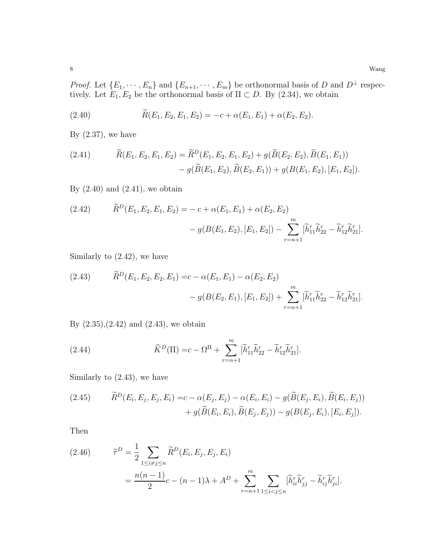*Proof.* Let  ${E_1, \dots, E_n}$  and  ${E_{n+1}, \dots, E_m}$  be orthonormal basis of D and D<sup>⊥</sup> respectively. Let  $E_1, E_2$  be the orthonormal basis of  $\Pi \subset D$ . By (2.34), we obtain

(2.40) 
$$
\widetilde{R}(E_1, E_2, E_1, E_2) = -c + \alpha(E_1, E_1) + \alpha(E_2, E_2).
$$

By  $(2.37)$ , we have

(2.41) 
$$
\widetilde{R}(E_1, E_2, E_1, E_2) = \widetilde{R}^D(E_1, E_2, E_1, E_2) + g(\widetilde{B}(E_2, E_2), \widetilde{B}(E_1, E_1)) - g(\widetilde{B}(E_1, E_2), \widetilde{B}(E_2, E_1)) + g(B(E_1, E_2), [E_1, E_2]).
$$

By  $(2.40)$  and  $(2.41)$ , we obtain

(2.42) 
$$
\widetilde{R}^D(E_1, E_2, E_1, E_2) = -c + \alpha(E_1, E_1) + \alpha(E_2, E_2) - g(B(E_1, E_2), [E_1, E_2]) - \sum_{r=n+1}^m [\widetilde{h}_{11}^r \widetilde{h}_{22}^r - \widetilde{h}_{12}^r \widetilde{h}_{21}^r].
$$

Similarly to (2.42), we have

(2.43) 
$$
\widetilde{R}^D(E_1, E_2, E_2, E_1) = c - \alpha(E_1, E_1) - \alpha(E_2, E_2) - g(B(E_2, E_1), [E_1, E_2]) + \sum_{r=n+1}^m [\widetilde{h}_{11}^r \widetilde{h}_{22}^r - \widetilde{h}_{12}^r \widetilde{h}_{21}^r].
$$

By  $(2.35),(2.42)$  and  $(2.43)$ , we obtain

(2.44) 
$$
\widetilde{K}^D(\Pi) = c - \Omega^{\Pi} + \sum_{r=n+1}^m [\widetilde{h}_{11}^r \widetilde{h}_{22}^r - \widetilde{h}_{12}^r \widetilde{h}_{21}^r].
$$

Similarly to (2.43), we have

(2.45) 
$$
\widetilde{R}^{D}(E_{i}, E_{j}, E_{i}) = c - \alpha(E_{j}, E_{j}) - \alpha(E_{i}, E_{i}) - g(\widetilde{B}(E_{j}, E_{i}), \widetilde{B}(E_{i}, E_{j})) + g(\widetilde{B}(E_{i}, E_{i}), \widetilde{B}(E_{j}, E_{j})) - g(B(E_{j}, E_{i}), [E_{i}, E_{j}]).
$$

Then

(2.46) 
$$
\widetilde{\tau}^{D} = \frac{1}{2} \sum_{1 \le i \ne j \le n} \widetilde{R}^{D}(E_{i}, E_{j}, E_{j}, E_{i})
$$

$$
= \frac{n(n-1)}{2}c - (n-1)\lambda + A^{D} + \sum_{r=n+1}^{m} \sum_{1 \le i < j \le n} [\widetilde{h}_{ii}^{r} \widetilde{h}_{jj}^{r} - \widetilde{h}_{ij}^{r} \widetilde{h}_{ji}^{r}].
$$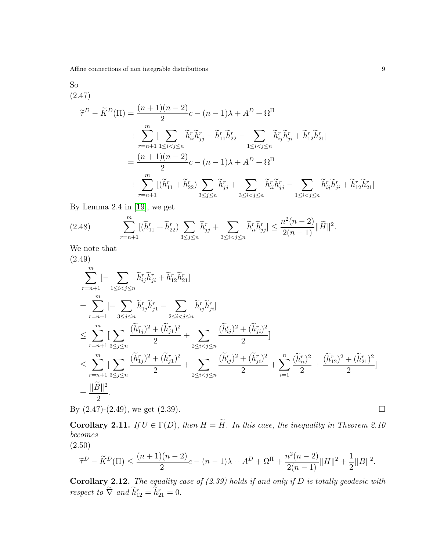Affine connections of non integrable distributions  $\qquad \qquad \, 9$ 

So (2.47)

$$
\tilde{\tau}^{D} - \tilde{K}^{D}(\Pi) = \frac{(n+1)(n-2)}{2}c - (n-1)\lambda + A^{D} + \Omega^{\Pi}
$$
  
+ 
$$
\sum_{r=n+1}^{m} \left[ \sum_{1 \leq i < j \leq n} \tilde{h}_{ii}^{r} \tilde{h}_{jj}^{r} - \tilde{h}_{11}^{r} \tilde{h}_{22}^{r} - \sum_{1 \leq i < j \leq n} \tilde{h}_{ij}^{r} \tilde{h}_{ji}^{r} + \tilde{h}_{12}^{r} \tilde{h}_{21}^{r} \right]
$$
  
= 
$$
\frac{(n+1)(n-2)}{2}c - (n-1)\lambda + A^{D} + \Omega^{\Pi}
$$
  
+ 
$$
\sum_{r=n+1}^{m} \left[ (\tilde{h}_{11}^{r} + \tilde{h}_{22}^{r}) \sum_{3 \leq j \leq n} \tilde{h}_{jj}^{r} + \sum_{3 \leq i < j \leq n} \tilde{h}_{ii}^{r} \tilde{h}_{jj}^{r} - \sum_{1 \leq i < j \leq n} \tilde{h}_{ij}^{r} \tilde{h}_{ji}^{r} + \tilde{h}_{12}^{r} \tilde{h}_{21}^{r} \right]
$$

By Lemma 2.4 in [\[19\]](#page-27-8), we get

(2.48) 
$$
\sum_{r=n+1}^{m} [(\widetilde{h}_{11}^{r} + \widetilde{h}_{22}^{r}) \sum_{3 \leq j \leq n} \widetilde{h}_{jj}^{r} + \sum_{3 \leq i < j \leq n} \widetilde{h}_{ii}^{r} \widetilde{h}_{jj}^{r}] \leq \frac{n^{2}(n-2)}{2(n-1)} ||\widetilde{H}||^{2}.
$$

We note that

$$
(2.49)
$$
\n
$$
\sum_{r=n+1}^{m} \left[-\sum_{1 \leq i < j \leq n} \tilde{h}_{ij}^{r} \tilde{h}_{ji}^{r} + \tilde{h}_{12}^{r} \tilde{h}_{21}^{r}\right]
$$
\n
$$
= \sum_{r=n+1}^{m} \left[-\sum_{3 \leq j \leq n} \tilde{h}_{1j}^{r} \tilde{h}_{j1}^{r} - \sum_{2 \leq i < j \leq n} \tilde{h}_{ij}^{r} \tilde{h}_{ji}^{r}\right]
$$
\n
$$
\leq \sum_{r=n+1}^{m} \left[\sum_{3 \leq j \leq n} \frac{(\tilde{h}_{1j}^{r})^{2} + (\tilde{h}_{j1})^{2}}{2} + \sum_{2 \leq i < j \leq n} \frac{(\tilde{h}_{ij}^{r})^{2} + (\tilde{h}_{ji})^{2}}{2}\right]
$$
\n
$$
\leq \sum_{r=n+1}^{m} \left[\sum_{3 \leq j \leq n} \frac{(\tilde{h}_{1j}^{r})^{2} + (\tilde{h}_{j1})^{2}}{2} + \sum_{2 \leq i < j \leq n} \frac{(\tilde{h}_{ij}^{r})^{2} + (\tilde{h}_{ji})^{2}}{2} + \sum_{i=1}^{n} \frac{(\tilde{h}_{ii}^{r})^{2}}{2} + \frac{(\tilde{h}_{i2})^{2} + (\tilde{h}_{21})^{2}}{2}\right]
$$
\n
$$
= \frac{\|\tilde{B}\|^{2}}{2}.
$$

By  $(2.47)-(2.49)$ , we get  $(2.39)$ .

**Corollary 2.11.** *If*  $U \in \Gamma(D)$ *, then*  $H = \widetilde{H}$ *. In this case, the inequality in Theorem 2.10 becomes* (2.50)

$$
\widetilde{\tau}^D - \widetilde{K}^D(\Pi) \le \frac{(n+1)(n-2)}{2}c - (n-1)\lambda + A^D + \Omega^{\Pi} + \frac{n^2(n-2)}{2(n-1)}\|H\|^2 + \frac{1}{2}\|B\|^2.
$$

Corollary 2.12. *The equality case of (2.39) holds if and only if* D *is totally geodesic with respect to*  $\nabla$  *and*  $h_{12}^r = h_{21}^r = 0$ .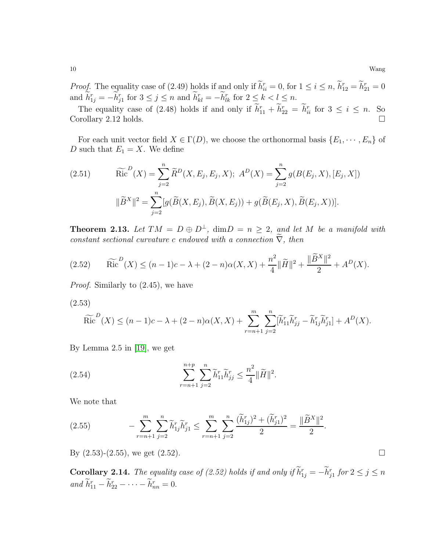*Proof.* The equality case of (2.49) holds if and only if  $h_{ii}^r = 0$ , for  $1 \le i \le n$ ,  $h_{12}^r = h_{21}^r = 0$ and  $h_{1j}^r = -h_{j1}^r$  for  $3 \le j \le n$  and  $h_{kl}^r = -h_{lk}^r$  for  $2 \le k < l \le n$ .

The equality case of (2.48) holds if and only if  $h_{11}^r + h_{22}^r = h_{ii}^r$  for  $3 \le i \le n$ . So Corollary 2.12 holds.  $\square$ 

For each unit vector field  $X \in \Gamma(D)$ , we choose the orthonormal basis  $\{E_1, \dots, E_n\}$  of D such that  $E_1 = X$ . We define

(2.51) 
$$
\widetilde{\text{Ric}}^{D}(X) = \sum_{j=2}^{n} \widetilde{R}^{D}(X, E_{j}, E_{j}, X); A^{D}(X) = \sum_{j=2}^{n} g(B(E_{j}, X), [E_{j}, X])
$$

$$
\|\widetilde{B}^{X}\|^{2} = \sum_{j=2}^{n} [g(\widetilde{B}(X, E_{j}), \widetilde{B}(X, E_{j})) + g(\widetilde{B}(E_{j}, X), \widetilde{B}(E_{j}, X))].
$$

**Theorem 2.13.** Let  $TM = D \oplus D^{\perp}$ ,  $\dim D = n \geq 2$ , and let M be a manifold with *constant sectional curvature* c endowed with a connection  $\tilde{\nabla}$ , then

$$
(2.52) \qquad \widetilde{\text{Ric}}^{D}(X) \le (n-1)c - \lambda + (2-n)\alpha(X,X) + \frac{n^2}{4} \|\widetilde{H}\|^2 + \frac{\|\widetilde{B}^X\|^2}{2} + A^D(X).
$$

*Proof.* Similarly to (2.45), we have

(2.53)

$$
\widetilde{\text{Ric}}^{D}(X) \leq (n-1)c - \lambda + (2-n)\alpha(X,X) + \sum_{r=n+1}^{m} \sum_{j=2}^{n} [\widetilde{h}_{11}^{r} \widetilde{h}_{jj}^{r} - \widetilde{h}_{1j}^{r} \widetilde{h}_{j1}^{r}] + A^{D}(X).
$$

By Lemma 2.5 in [\[19\]](#page-27-8), we get

(2.54) 
$$
\sum_{r=n+1}^{n+p} \sum_{j=2}^{n} \widetilde{h}_{11}^r \widetilde{h}_{jj}^r \leq \frac{n^2}{4} ||\widetilde{H}||^2.
$$

We note that

(2.55) 
$$
- \sum_{r=n+1}^{m} \sum_{j=2}^{n} \widetilde{h}_{1j}^{r} \widetilde{h}_{j1}^{r} \leq \sum_{r=n+1}^{m} \sum_{j=2}^{n} \frac{(\widetilde{h}_{1j}^{r})^{2} + (\widetilde{h}_{j1}^{r})^{2}}{2} = \frac{\|\widetilde{B}^{X}\|^{2}}{2}.
$$

By  $(2.53)-(2.55)$ , we get  $(2.52)$ .

**Corollary 2.14.** *The equality case of (2.52) holds if and only if*  $\hat{h}^r_{1j} = -\hat{h}^r_{j1}$  *for*  $2 \le j \le n$  $and$   $h_{11}^r - h_{22}^r - \cdots - h_{nn}^r = 0.$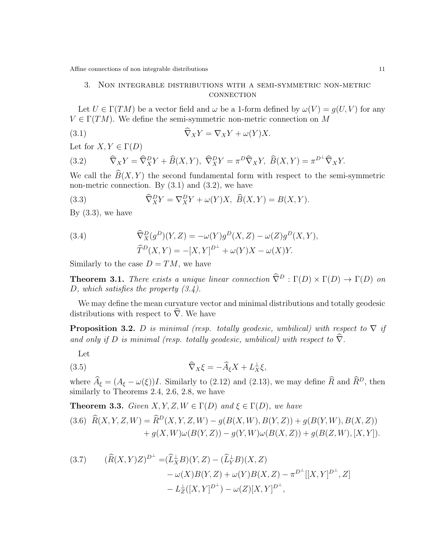## 3. Non integrable distributions with a semi-symmetric non-metric **CONNECTION**

Let  $U \in \Gamma(TM)$  be a vector field and  $\omega$  be a 1-form defined by  $\omega(V) = g(U, V)$  for any  $V \in \Gamma(TM)$ . We define the semi-symmetric non-metric connection on M

(3.1) 
$$
\nabla_X Y = \nabla_X Y + \omega(Y) X.
$$

Let for  $X, Y \in \Gamma(D)$ 

(3.2) 
$$
\widehat{\nabla}_X Y = \widehat{\nabla}_X^D Y + \widehat{B}(X, Y), \ \widehat{\nabla}_X^D Y = \pi^D \widehat{\nabla}_X Y, \ \widehat{B}(X, Y) = \pi^{D^\perp} \widehat{\nabla}_X Y.
$$

We call the  $B(X, Y)$  the second fundamental form with respect to the semi-symmetric non-metric connection. By  $(3.1)$  and  $(3.2)$ , we have

(3.3) 
$$
\widehat{\nabla}_X^D Y = \nabla_X^D Y + \omega(Y)X, \ \widehat{B}(X, Y) = B(X, Y).
$$

By  $(3.3)$ , we have

(3.4) 
$$
\widehat{\nabla}^D_X(g^D)(Y,Z) = -\omega(Y)g^D(X,Z) - \omega(Z)g^D(X,Y), \n\widehat{T}^D(X,Y) = -[X,Y]^{D^{\perp}} + \omega(Y)X - \omega(X)Y.
$$

Similarly to the case  $D = TM$ , we have

**Theorem 3.1.** *There exists a unique linear connection*  $\widehat{\nabla}^D : \Gamma(D) \times \Gamma(D) \to \Gamma(D)$  *on* D*, which satisfies the property (3.4).*

We may define the mean curvature vector and minimal distributions and totally geodesic distributions with respect to  $\hat{\nabla}$ . We have

**Proposition 3.2.** D is minimal (resp. totally geodesic, umbilical) with respect to  $\nabla$  if *and only if* D *is minimal (resp. totally geodesic, umbilical) with respect to*  $\hat{\nabla}$ *.* 

Let

$$
\widehat{\nabla}_X \xi = -\widehat{A}_{\xi} X + L_X^{\perp} \xi,
$$

where  $\hat{A}_{\xi} = (A_{\xi} - \omega(\xi))I$ . Similarly to (2.12) and (2.13), we may define  $\hat{R}$  and  $\hat{R}^D$ , then similarly to Theorems 2.4, 2.6, 2.8, we have

**Theorem 3.3.** *Given*  $X, Y, Z, W \in \Gamma(D)$  *and*  $\xi \in \Gamma(D)$ *, we have* 

$$
(3.6) \ \widehat{R}(X,Y,Z,W) = \widehat{R}^D(X,Y,Z,W) - g(B(X,W),B(Y,Z)) + g(B(Y,W),B(X,Z)) + g(X,W)\omega(B(Y,Z)) - g(Y,W)\omega(B(X,Z)) + g(B(Z,W),[X,Y]).
$$

(3.7) 
$$
(\widehat{R}(X,Y)Z)^{D^{\perp}} = (\widehat{L}_X^{\perp}B)(Y,Z) - (\widehat{L}_Y^{\perp}B)(X,Z) - \omega(X)B(Y,Z) + \omega(Y)B(X,Z) - \pi^{D^{\perp}}[[X,Y]^{D^{\perp}},Z] - L_Z^{\perp}([X,Y]^{D^{\perp}}) - \omega(Z)[X,Y]^{D^{\perp}},
$$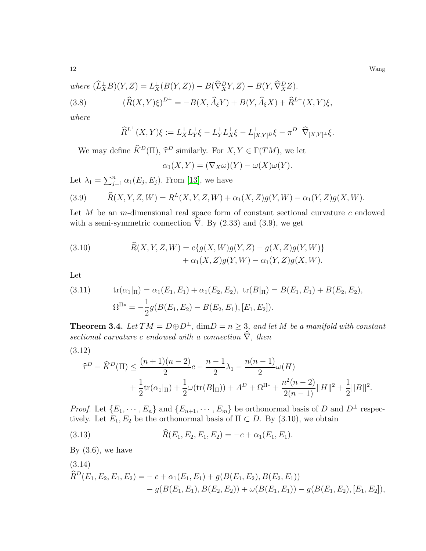12 Wang

where 
$$
(\widehat{L}_X^{\perp}B)(Y,Z) = L_X^{\perp}(B(Y,Z)) - B(\widehat{\nabla}_X^D Y, Z) - B(Y, \widehat{\nabla}_X^D Z).
$$
  
(3.8) 
$$
(\widehat{R}(X,Y)\xi)^{D^{\perp}} = -B(X, \widehat{A}_{\xi}Y) + B(Y, \widehat{A}_{\xi}X) + \widehat{R}^{L^{\perp}}(X,Y)\xi,
$$

*where*

$$
\widehat{R}^{L^{\perp}}(X,Y)\xi := L_X^{\perp}L_Y^{\perp}\xi - L_Y^{\perp}L_X^{\perp}\xi - L_{[X,Y]}^{\perp}D\xi - \pi^{D^{\perp}}\widehat{\nabla}_{[X,Y]^{\perp}}\xi.
$$

We may define  $\hat{K}^D(\Pi)$ ,  $\hat{\tau}^D$  similarly. For  $X, Y \in \Gamma(TM)$ , we let

$$
\alpha_1(X,Y) = (\nabla_X \omega)(Y) - \omega(X)\omega(Y).
$$

Let  $\lambda_1 = \sum_{j=1}^n \alpha_1(E_j, E_j)$ . From [\[13\]](#page-27-4), we have

(3.9) 
$$
\widehat{R}(X, Y, Z, W) = R^{L}(X, Y, Z, W) + \alpha_{1}(X, Z)g(Y, W) - \alpha_{1}(Y, Z)g(X, W).
$$

Let  $M$  be an m-dimensional real space form of constant sectional curvature  $c$  endowed with a semi-symmetric connection  $\nabla$ . By (2.33) and (3.9), we get

(3.10) 
$$
\hat{R}(X, Y, Z, W) = c\{g(X, W)g(Y, Z) - g(X, Z)g(Y, W)\} + \alpha_1(X, Z)g(Y, W) - \alpha_1(Y, Z)g(X, W).
$$

Let

(3.11) 
$$
\text{tr}(\alpha_1|_{\Pi}) = \alpha_1(E_1, E_1) + \alpha_1(E_2, E_2), \text{ tr}(B|_{\Pi}) = B(E_1, E_1) + B(E_2, E_2),
$$

$$
\Omega^{\Pi*} = -\frac{1}{2}g(B(E_1, E_2) - B(E_2, E_1), [E_1, E_2]).
$$

**Theorem 3.4.** *Let*  $TM = D \oplus D^{\perp}$ ,  $\dim D = n \geq 3$ , and let M be a manifold with constant *sectional curvature c endowed with a connection*  $\hat{\nabla}$ *, then* 

(3.12)

$$
\hat{\tau}^D - \hat{K}^D(\Pi) \le \frac{(n+1)(n-2)}{2}c - \frac{n-1}{2}\lambda_1 - \frac{n(n-1)}{2}\omega(H) + \frac{1}{2}\text{tr}(\alpha_1|_{\Pi}) + \frac{1}{2}\omega(\text{tr}(B|_{\Pi})) + A^D + \Omega^{\Pi*} + \frac{n^2(n-2)}{2(n-1)}\|H\|^2 + \frac{1}{2}\|B\|^2.
$$

*Proof.* Let  $\{E_1, \dots, E_n\}$  and  $\{E_{n+1}, \dots, E_m\}$  be orthonormal basis of D and  $D^{\perp}$  respectively. Let  $E_1, E_2$  be the orthonormal basis of  $\Pi \subset D$ . By (3.10), we obtain

(3.13) 
$$
\widehat{R}(E_1, E_2, E_1, E_2) = -c + \alpha_1(E_1, E_1).
$$

By  $(3.6)$ , we have

(3.14)  
\n
$$
\widehat{R}^D(E_1, E_2, E_1, E_2) = -c + \alpha_1(E_1, E_1) + g(B(E_1, E_2), B(E_2, E_1))
$$
\n
$$
- g(B(E_1, E_1), B(E_2, E_2)) + \omega(B(E_1, E_1)) - g(B(E_1, E_2), [E_1, E_2]),
$$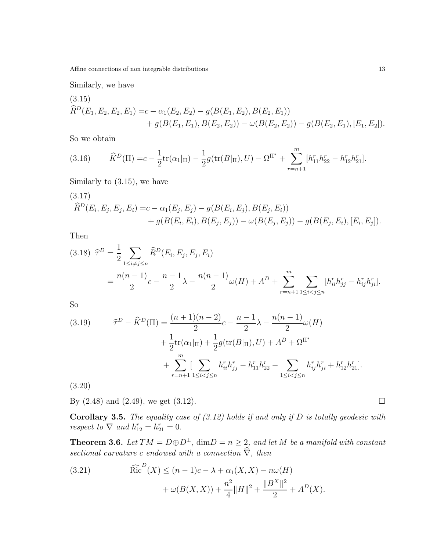Similarly, we have

(3.15)  
\n
$$
\hat{R}^{D}(E_1, E_2, E_2, E_1) = c - \alpha_1(E_2, E_2) - g(B(E_1, E_2), B(E_2, E_1))
$$
\n
$$
+ g(B(E_1, E_1), B(E_2, E_2)) - \omega(B(E_2, E_2)) - g(B(E_2, E_1), [E_1, E_2]).
$$

So we obtain

(3.16) 
$$
\hat{K}^{D}(\Pi) = c - \frac{1}{2} \text{tr}(\alpha_{1} |_{\Pi}) - \frac{1}{2} g(\text{tr}(B |_{\Pi}), U) - \Omega^{\Pi^{*}} + \sum_{r=n+1}^{m} [h_{11}^{r} h_{22}^{r} - h_{12}^{r} h_{21}^{r}].
$$

Similarly to (3.15), we have

(3.17)  
\n
$$
\hat{R}^{D}(E_{i}, E_{j}, E_{j}, E_{i}) = c - \alpha_{1}(E_{j}, E_{j}) - g(B(E_{i}, E_{j}), B(E_{j}, E_{i})) + g(B(E_{i}, E_{i}), B(E_{j}, E_{j})) - \omega(B(E_{j}, E_{j})) - g(B(E_{j}, E_{i}), [E_{i}, E_{j}]).
$$

Then

$$
(3.18) \ \ \hat{\tau}^D = \frac{1}{2} \sum_{1 \le i \neq j \le n} \hat{R}^D(E_i, E_j, E_j, E_i)
$$
  
= 
$$
\frac{n(n-1)}{2}c - \frac{n-1}{2}\lambda - \frac{n(n-1)}{2}\omega(H) + A^D + \sum_{r=n+1}^m \sum_{1 \le i < j \le n} [h_{ii}^r h_{jj}^r - h_{ij}^r h_{ji}^r].
$$

So

(3.19) 
$$
\widehat{\tau}^D - \widehat{K}^D(\Pi) = \frac{(n+1)(n-2)}{2}c - \frac{n-1}{2}\lambda - \frac{n(n-1)}{2}\omega(H) + \frac{1}{2}\text{tr}(\alpha_1|_{\Pi}) + \frac{1}{2}g(\text{tr}(B|_{\Pi}), U) + A^D + \Omega^{\Pi^*} + \sum_{r=n+1}^m \left[\sum_{1 \le i < j \le n} h_{ii}^r h_{jj}^r - h_{11}^r h_{22}^r - \sum_{1 \le i < j \le n} h_{ij}^r h_{ji}^r + h_{12}^r h_{21}^r\right].
$$

(3.20)

By  $(2.48)$  and  $(2.49)$ , we get  $(3.12)$ .

Corollary 3.5. *The equality case of (3.12) holds if and only if* D *is totally geodesic with respect to*  $\nabla$  *and*  $h_{12}^r = h_{21}^r = 0$ .

**Theorem 3.6.** *Let*  $TM = D \oplus D^{\perp}$ ,  $\dim D = n \geq 2$ , and let M be a manifold with constant *sectional curvature c endowed with a connection*  $\vec{\hat{\nabla}}$ *, then* 

(3.21) 
$$
\widehat{\text{Ric}}^{D}(X) \le (n-1)c - \lambda + \alpha_1(X, X) - n\omega(H) + \omega(B(X, X)) + \frac{n^2}{4} ||H||^2 + \frac{||B^X||^2}{2} + A^D(X).
$$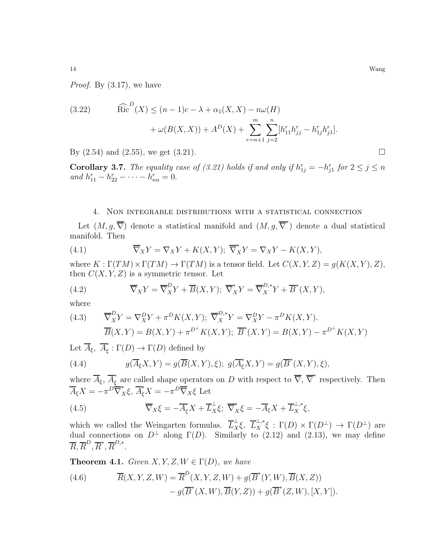*Proof.* By (3.17), we have

(3.22) \t\t\t\t
$$
\widehat{\text{Ric}}^D(X) \le (n-1)c - \lambda + \alpha_1(X, X) - n\omega(H)
$$
  
\t\t\t\t $+ \omega(B(X, X)) + A^D(X) + \sum_{r=n+1}^m \sum_{j=2}^n [h_{11}^r h_{jj}^r - h_{1j}^r h_{j1}^r].$ 

By  $(2.54)$  and  $(2.55)$ , we get  $(3.21)$ .

**Corollary 3.7.** *The equality case of (3.21) holds if and only if*  $h_{1j}^r = -h_{j1}^r$  *for*  $2 \le j \le n$ *and*  $h_{11}^r - h_{22}^r - \cdots - h_{nn}^r = 0.$ 

#### 4. Non integrable distributions with a statistical connection

Let  $(M, g, \overline{\nabla})$  denote a statistical manifold and  $(M, g, \overline{\nabla}^*)$  denote a dual statistical manifold. Then

(4.1) 
$$
\overline{\nabla}_X Y = \nabla_X Y + K(X, Y); \overline{\nabla}_X^* Y = \nabla_X Y - K(X, Y),
$$

where  $K : \Gamma(TM) \times \Gamma(TM) \rightarrow \Gamma(TM)$  is a tensor field. Let  $C(X, Y, Z) = g(K(X, Y), Z)$ , then  $C(X, Y, Z)$  is a symmetric tensor. Let

(4.2) 
$$
\overline{\nabla}_X Y = \overline{\nabla}_X^D Y + \overline{B}(X, Y); \overline{\nabla}_X^* Y = \overline{\nabla}_X^{D,*} Y + \overline{B}^*(X, Y),
$$

where

(4.3) 
$$
\overline{\nabla}_X^D Y = \nabla_X^D Y + \pi^D K(X, Y); \ \overline{\nabla}_X^{D,*} Y = \nabla_X^D Y - \pi^D K(X, Y).
$$

$$
\overline{B}(X, Y) = B(X, Y) + \pi^{D^\perp} K(X, Y); \ \overline{B}^*(X, Y) = B(X, Y) - \pi^{D^\perp} K(X, Y)
$$

Let  $\overline{A}_{\xi}$ ,  $\overline{A}_{\xi}^*$  $\tilde{\xi}: \Gamma(D) \to \Gamma(D)$  defined by

(4.4) 
$$
g(\overline{A}_{\xi}X,Y) = g(\overline{B}(X,Y),\xi); g(\overline{A}_{\xi}^*X,Y) = g(\overline{B}^*(X,Y),\xi),
$$

where  $\overline{A}_{\xi}$ ,  $\overline{A}_{\xi}^{*}$  are called shape operators on D with respect to  $\overline{\nabla}$ ,  $\overline{\nabla}^{*}$  respectively. Then  $\overline{A}_{\xi}X = -\pi D \overline{\nabla}_{X}^{*} \xi, \overline{A}_{\xi}^{*} X = -\pi D \overline{\nabla}_{X} \xi$  Let

(4.5) 
$$
\overline{\nabla}_X \xi = -\overline{A}_{\xi}^* X + \overline{L}_X^{\perp} \xi; \ \overline{\nabla}_X^* \xi = -\overline{A}_{\xi} X + \overline{L}_X^{\perp,*} \xi,
$$

which we called the Weingarten formulas.  $\overline{L}_X^{\perp} \xi$ ,  $\overline{L}_X^{\perp,*} \xi$ :  $\Gamma(D) \times \Gamma(D^{\perp}) \to \Gamma(D^{\perp})$  are dual connections on  $D^{\perp}$  along  $\Gamma(D)$ . Similarly to (2.12) and (2.13), we may define  $\overline{R}, \overline{R}^D, \overline{R}^*, \overline{R}^{D, *}.$ 

**Theorem 4.1.** *Given*  $X, Y, Z, W \in \Gamma(D)$ *, we have* 

(4.6) 
$$
\overline{R}(X,Y,Z,W) = \overline{R}^{D}(X,Y,Z,W) + g(\overline{B}^{*}(Y,W), \overline{B}(X,Z)) - g(\overline{B}^{*}(X,W), \overline{B}(Y,Z)) + g(\overline{B}^{*}(Z,W), [X,Y]).
$$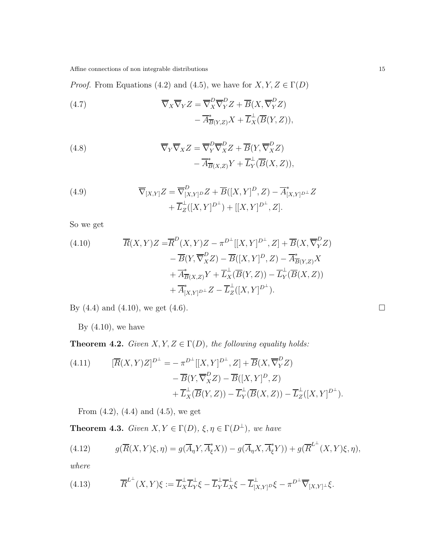*Proof.* From Equations (4.2) and (4.5), we have for  $X, Y, Z \in \Gamma(D)$ 

(4.7) 
$$
\overline{\nabla}_X \overline{\nabla}_Y Z = \overline{\nabla}_X^D \overline{\nabla}_Y^D Z + \overline{B}(X, \overline{\nabla}_Y^D Z) - \overline{A}_{\overline{B}(Y,Z)}^* X + \overline{L}_X^{\perp} (\overline{B}(Y,Z)),
$$

(4.8) 
$$
\overline{\nabla}_Y \overline{\nabla}_X Z = \overline{\nabla}_Y^D \overline{\nabla}_X^D Z + \overline{B}(Y, \overline{\nabla}_X^D Z) - \overline{A}_{\overline{B}(X,Z)}^* Y + \overline{L}_Y^{\perp} (\overline{B}(X,Z)),
$$

(4.9) 
$$
\overline{\nabla}_{[X,Y]}Z = \overline{\nabla}_{[X,Y]}^{D} Z + \overline{B}([X,Y]^{D}, Z) - \overline{A}_{[X,Y]^{D}}^{*} Z + \overline{L}_{Z}^{\perp}([X,Y]^{D^{+}}) + [[X,Y]^{D^{+}}, Z].
$$

So we get

(4.10) 
$$
\overline{R}(X,Y)Z = \overline{R}^D(X,Y)Z - \pi^{D^{\perp}}[[X,Y]^{D^{\perp}},Z] + \overline{B}(X,\overline{\nabla}_Y^D Z) \n- \overline{B}(Y,\overline{\nabla}_X^D Z) - \overline{B}([X,Y]^{D},Z) - \overline{A}^*_{\overline{B}(Y,Z)}X \n+ \overline{A}^*_{\overline{B}(X,Z)}Y + \overline{L}^{\perp}_X(\overline{B}(Y,Z)) - \overline{L}^{\perp}_Y(\overline{B}(X,Z)) \n+ \overline{A}^*_{[X,Y]^{D^{\perp}}}Z - \overline{L}^{\perp}_Z([X,Y]^{D^{\perp}}).
$$

By (4.4) and (4.10), we get (4.6).

By  $(4.10)$ , we have

**Theorem 4.2.** *Given*  $X, Y, Z \in \Gamma(D)$ *, the following equality holds:* 

(4.11) 
$$
[\overline{R}(X,Y)Z]^{D^{\perp}} = -\pi^{D^{\perp}}[[X,Y]^{D^{\perp}},Z] + \overline{B}(X,\overline{\nabla}_Y^D Z)
$$

$$
- \overline{B}(Y,\overline{\nabla}_X^D Z) - \overline{B}([X,Y]^D,Z)
$$

$$
+ \overline{L}_X^{\perp}(\overline{B}(Y,Z)) - \overline{L}_Y^{\perp}(\overline{B}(X,Z)) - \overline{L}_Z^{\perp}([X,Y]^{D^{\perp}}).
$$

From  $(4.2)$ ,  $(4.4)$  and  $(4.5)$ , we get

**Theorem 4.3.** *Given*  $X, Y \in \Gamma(D)$ *,*  $\xi, \eta \in \Gamma(D^{\perp})$ *, we have* 

(4.12) 
$$
g(\overline{R}(X,Y)\xi,\eta) = g(\overline{A}_{\eta}Y,\overline{A}_{\xi}^*X)) - g(\overline{A}_{\eta}X,\overline{A}_{\xi}^*Y)) + g(\overline{R}^{L^{\perp}}(X,Y)\xi,\eta),
$$

*where*

(4.13) 
$$
\overline{R}^{L^{\perp}}(X,Y)\xi := \overline{L}_X^{\perp}\overline{L}_Y^{\perp}\xi - \overline{L}_Y^{\perp}\overline{L}_X^{\perp}\xi - \overline{L}_{[X,Y]}^{\perp}\nu\xi - \pi^{D^{\perp}}\overline{\nabla}_{[X,Y]^{\perp}}\xi.
$$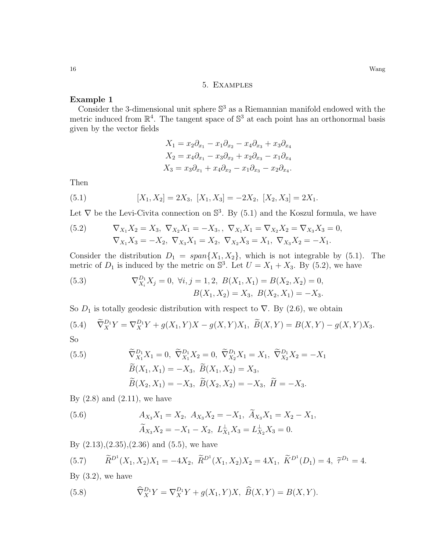## 5. Examples

## Example 1

Consider the 3-dimensional unit sphere  $\mathbb{S}^3$  as a Riemannian manifold endowed with the metric induced from  $\mathbb{R}^4$ . The tangent space of  $\mathbb{S}^3$  at each point has an orthonormal basis given by the vector fields

$$
X_1 = x_2 \partial_{x_1} - x_1 \partial_{x_2} - x_4 \partial_{x_3} + x_3 \partial_{x_4}
$$
  
\n
$$
X_2 = x_4 \partial_{x_1} - x_3 \partial_{x_2} + x_2 \partial_{x_3} - x_1 \partial_{x_4}
$$
  
\n
$$
X_3 = x_3 \partial_{x_1} + x_4 \partial_{x_2} - x_1 \partial_{x_3} - x_2 \partial_{x_4}.
$$

Then

(5.1) 
$$
[X_1, X_2] = 2X_3, [X_1, X_3] = -2X_2, [X_2, X_3] = 2X_1.
$$

Let  $\nabla$  be the Levi-Civita connection on  $\mathbb{S}^3$ . By (5.1) and the Koszul formula, we have

(5.2) 
$$
\nabla_{X_1} X_2 = X_3, \nabla_{X_2} X_1 = -X_3, \nabla_{X_1} X_1 = \nabla_{X_2} X_2 = \nabla_{X_3} X_3 = 0, \n\nabla_{X_1} X_3 = -X_2, \nabla_{X_3} X_1 = X_2, \nabla_{X_2} X_3 = X_1, \nabla_{X_3} X_2 = -X_1.
$$

Consider the distribution  $D_1 = span{X_1, X_2}$ , which is not integrable by (5.1). The metric of  $D_1$  is induced by the metric on  $\mathbb{S}^3$ . Let  $U = X_1 + X_3$ . By (5.2), we have

(5.3) 
$$
\nabla_{X_i}^{D_1} X_j = 0, \ \forall i, j = 1, 2, \ B(X_1, X_1) = B(X_2, X_2) = 0, B(X_1, X_2) = X_3, \ B(X_2, X_1) = -X_3.
$$

So  $D_1$  is totally geodesic distribution with respect to  $\nabla$ . By (2.6), we obtain

(5.4) 
$$
\widetilde{\nabla}_X^{D_1} Y = \nabla_X^{D_1} Y + g(X_1, Y)X - g(X, Y)X_1, \ \widetilde{B}(X, Y) = B(X, Y) - g(X, Y)X_3.
$$
  
So

(5.5) 
$$
\begin{aligned}\n\widetilde{\nabla}_{X_1}^{D_1} X_1 &= 0, \ \widetilde{\nabla}_{X_1}^{D_1} X_2 = 0, \ \widetilde{\nabla}_{X_2}^{D_1} X_1 = X_1, \ \widetilde{\nabla}_{X_2}^{D_1} X_2 = -X_1 \\
\widetilde{B}(X_1, X_1) &= -X_3, \ \widetilde{B}(X_1, X_2) = X_3, \\
\widetilde{B}(X_2, X_1) &= -X_3, \ \widetilde{B}(X_2, X_2) = -X_3, \ \widetilde{H} = -X_3.\n\end{aligned}
$$

By  $(2.8)$  and  $(2.11)$ , we have

(5.6) 
$$
A_{X_3}X_1 = X_2, A_{X_3}X_2 = -X_1, \tilde{A}_{X_3}X_1 = X_2 - X_1, \tilde{A}_{X_3}X_2 = -X_1 - X_2, L_{X_1}^{\perp}X_3 = L_{X_2}^{\perp}X_3 = 0.
$$

By  $(2.13),(2.35),(2.36)$  and  $(5.5)$ , we have

(5.7) 
$$
\widetilde{R}^{D^1}(X_1, X_2)X_1 = -4X_2, \ \widetilde{R}^{D^1}(X_1, X_2)X_2 = 4X_1, \ \widetilde{K}^{D^1}(D_1) = 4, \ \widetilde{\tau}^{D_1} = 4.
$$

By  $(3.2)$ , we have

(5.8) 
$$
\widehat{\nabla}_X^{D_1} Y = \nabla_X^{D_1} Y + g(X_1, Y)X, \ \widehat{B}(X, Y) = B(X, Y).
$$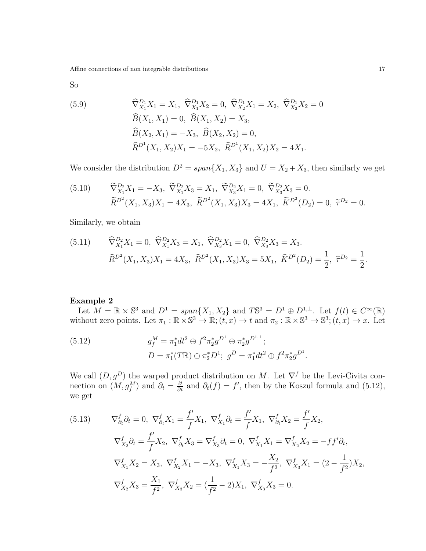So

(5.9) 
$$
\widehat{\nabla}_{X_1}^{D_1} X_1 = X_1, \ \widehat{\nabla}_{X_1}^{D_1} X_2 = 0, \ \widehat{\nabla}_{X_2}^{D_1} X_1 = X_2, \ \widehat{\nabla}_{X_2}^{D_1} X_2 = 0
$$

$$
\widehat{B}(X_1, X_1) = 0, \ \widehat{B}(X_1, X_2) = X_3,
$$

$$
\widehat{B}(X_2, X_1) = -X_3, \ \widehat{B}(X_2, X_2) = 0,
$$

$$
\widehat{R}^{D^1}(X_1, X_2)X_1 = -5X_2, \ \widehat{R}^{D^1}(X_1, X_2)X_2 = 4X_1.
$$

We consider the distribution  $D^2 = span{X_1, X_3}$  and  $U = X_2 + X_3$ , then similarly we get

(5.10) 
$$
\widetilde{\nabla}^{D_2}_{X_1} X_1 = -X_3, \ \widetilde{\nabla}^{D_2}_{X_1} X_3 = X_1, \ \widetilde{\nabla}^{D_2}_{X_3} X_1 = 0, \ \widetilde{\nabla}^{D_2}_{X_3} X_3 = 0.
$$

$$
\widetilde{R}^{D^2}(X_1, X_3) X_1 = 4X_3, \ \widetilde{R}^{D^2}(X_1, X_3) X_3 = 4X_1, \ \widetilde{K}^{D^2}(D_2) = 0, \ \widetilde{\tau}^{D_2} = 0.
$$

Similarly, we obtain

(5.11) 
$$
\widehat{\nabla}_{X_1}^{D_2} X_1 = 0, \ \widehat{\nabla}_{X_1}^{D_2} X_3 = X_1, \ \widehat{\nabla}_{X_3}^{D_2} X_1 = 0, \ \widehat{\nabla}_{X_3}^{D_2} X_3 = X_3.
$$

$$
\widehat{R}^{D^2} (X_1, X_3) X_1 = 4X_3, \ \widehat{R}^{D^2} (X_1, X_3) X_3 = 5X_1, \ \widehat{K}^{D^2} (D_2) = \frac{1}{2}, \ \widehat{\tau}^{D_2} = \frac{1}{2}.
$$

### Example 2

Let  $M = \mathbb{R} \times \mathbb{S}^3$  and  $D^1 = \text{span}\{X_1, X_2\}$  and  $T\mathbb{S}^3 = D^1 \oplus D^{1,\perp}$ . Let  $f(t) \in C^\infty(\mathbb{R})$ without zero points. Let  $\pi_1 : \mathbb{R} \times \mathbb{S}^3 \to \mathbb{R}; (t, x) \to t$  and  $\pi_2 : \mathbb{R} \times \mathbb{S}^3 \to \mathbb{S}^3; (t, x) \to x$ . Let

(5.12) 
$$
g_f^M = \pi_1^* dt^2 \oplus f^2 \pi_2^* g^{D^1} \oplus \pi_2^* g^{D^{1,\perp}};
$$

$$
D = \pi_1^*(T\mathbb{R}) \oplus \pi_2^* D^1; \ g^D = \pi_1^* dt^2 \oplus f^2 \pi_2^* g^{D^1}.
$$

We call  $(D, g^D)$  the warped product distribution on M. Let  $\nabla^f$  be the Levi-Civita connection on  $(M, g_f^M)$  and  $\partial_t = \frac{\partial}{\partial t}$  and  $\partial_t(f) = f'$ , then by the Koszul formula and (5.12), we get

(5.13) 
$$
\nabla_{\partial_t}^f \partial_t = 0, \nabla_{\partial_t}^f X_1 = \frac{f'}{f} X_1, \nabla_{X_1}^f \partial_t = \frac{f'}{f} X_1, \nabla_{\partial_t}^f X_2 = \frac{f'}{f} X_2,
$$

$$
\nabla_{X_2}^f \partial_t = \frac{f'}{f} X_2, \nabla_{\partial_t}^f X_3 = \nabla_{X_3}^f \partial_t = 0, \nabla_{X_1}^f X_1 = \nabla_{X_2}^f X_2 = -f f' \partial_t,
$$

$$
\nabla_{X_1}^f X_2 = X_3, \nabla_{X_2}^f X_1 = -X_3, \nabla_{X_1}^f X_3 = -\frac{X_2}{f^2}, \nabla_{X_3}^f X_1 = (2 - \frac{1}{f^2}) X_2,
$$

$$
\nabla_{X_2}^f X_3 = \frac{X_1}{f^2}, \nabla_{X_3}^f X_2 = (\frac{1}{f^2} - 2) X_1, \nabla_{X_3}^f X_3 = 0.
$$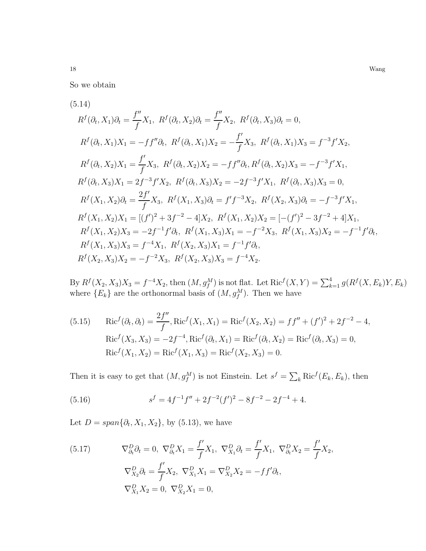So we obtain

$$
(5.14)
$$
  
\n
$$
R^{f}(\partial_{t}, X_{1})\partial_{t} = \frac{f''}{f}X_{1}, R^{f}(\partial_{t}, X_{2})\partial_{t} = \frac{f''}{f}X_{2}, R^{f}(\partial_{t}, X_{3})\partial_{t} = 0,
$$
  
\n
$$
R^{f}(\partial_{t}, X_{1})X_{1} = -ff''\partial_{t}, R^{f}(\partial_{t}, X_{1})X_{2} = -\frac{f'}{f}X_{3}, R^{f}(\partial_{t}, X_{1})X_{3} = f^{-3}f'X_{2},
$$
  
\n
$$
R^{f}(\partial_{t}, X_{2})X_{1} = \frac{f'}{f}X_{3}, R^{f}(\partial_{t}, X_{2})X_{2} = -ff''\partial_{t}, R^{f}(\partial_{t}, X_{2})X_{3} = -f^{-3}f'X_{1},
$$
  
\n
$$
R^{f}(\partial_{t}, X_{3})X_{1} = 2f^{-3}f'X_{2}, R^{f}(\partial_{t}, X_{3})X_{2} = -2f^{-3}f'X_{1}, R^{f}(\partial_{t}, X_{3})X_{3} = 0,
$$
  
\n
$$
R^{f}(X_{1}, X_{2})\partial_{t} = \frac{2f'}{f}X_{3}, R^{f}(X_{1}, X_{3})\partial_{t} = f'f^{-3}X_{2}, R^{f}(X_{2}, X_{3})\partial_{t} = -f^{-3}f'X_{1},
$$
  
\n
$$
R^{f}(X_{1}, X_{2})X_{1} = [(f')^{2} + 3f^{-2} - 4]X_{2}, R^{f}(X_{1}, X_{2})X_{2} = [-(f')^{2} - 3f^{-2} + 4]X_{1},
$$
  
\n
$$
R^{f}(X_{1}, X_{2})X_{3} = -2f^{-1}f'\partial_{t}, R^{f}(X_{1}, X_{3})X_{1} = -f^{-2}X_{3}, R^{f}(X_{1}, X_{3})X_{2} = -f^{-1}f'\partial_{t},
$$
  
\n
$$
R^{f}(X_{1}, X_{3})X_{3} = f^{-4}X_{1}, R^{f}(X_{2}, X_{3})X_{1} = f^{-1}f'\partial_{t},
$$
  
\n
$$
R^{f}(X_{2}, X_{3})X_{
$$

By  $R^f(X_2, X_3)X_3 = f^{-4}X_2$ , then  $(M, g_f^M)$  is not flat. Let  $Ric^f(X, Y) = \sum_{k=1}^4 g(R^f(X, E_k)Y, E_k)$ where  $\{E_k\}$  are the orthonormal basis of  $(M, g_j^M)$ . Then we have

(5.15) 
$$
Ric^{f}(\partial_{t}, \partial_{t}) = \frac{2f''}{f}, Ric^{f}(X_{1}, X_{1}) = Ric^{f}(X_{2}, X_{2}) = ff'' + (f')^{2} + 2f^{-2} - 4,
$$

$$
Ric^{f}(X_{3}, X_{3}) = -2f^{-4}, Ric^{f}(\partial_{t}, X_{1}) = Ric^{f}(\partial_{t}, X_{2}) = Ric^{f}(\partial_{t}, X_{3}) = 0,
$$

$$
Ric^{f}(X_{1}, X_{2}) = Ric^{f}(X_{1}, X_{3}) = Ric^{f}(X_{2}, X_{3}) = 0.
$$

Then it is easy to get that  $(M, g_f^M)$  is not Einstein. Let  $s^f = \sum_k \text{Ric}^f(E_k, E_k)$ , then

(5.16) 
$$
s^f = 4f^{-1}f'' + 2f^{-2}(f')^2 - 8f^{-2} - 2f^{-4} + 4.
$$

Let  $D = span\{\partial_t, X_1, X_2\}$ , by (5.13), we have

(5.17) 
$$
\nabla_{\partial_t}^D \partial_t = 0, \ \nabla_{\partial_t}^D X_1 = \frac{f'}{f} X_1, \ \nabla_{X_1}^D \partial_t = \frac{f'}{f} X_1, \ \nabla_{\partial_t}^D X_2 = \frac{f'}{f} X_2, \n\nabla_{X_2}^D \partial_t = \frac{f'}{f} X_2, \ \nabla_{X_1}^D X_1 = \nabla_{X_2}^D X_2 = -f f' \partial_t, \n\nabla_{X_1}^D X_2 = 0, \ \nabla_{X_2}^D X_1 = 0,
$$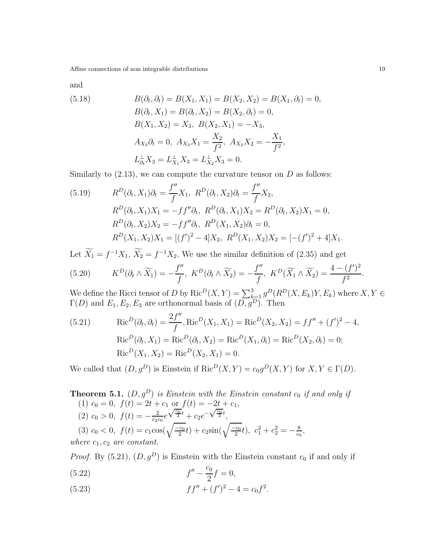and

(5.18) 
$$
B(\partial_t, \partial_t) = B(X_1, X_1) = B(X_2, X_2) = B(X_1, \partial_t) = 0,
$$

$$
B(\partial_t, X_1) = B(\partial_t, X_2) = B(X_2, \partial_t) = 0,
$$

$$
B(X_1, X_2) = X_3, B(X_2, X_1) = -X_3,
$$

$$
A_{X_3}\partial_t = 0, A_{X_3}X_1 = \frac{X_2}{f^2}, A_{X_3}X_2 = -\frac{X_1}{f^2},
$$

$$
L_{\partial_t}^{\perp} X_3 = L_{X_1}^{\perp} X_3 = L_{X_2}^{\perp} X_3 = 0.
$$

Similarly to  $(2.13)$ , we can compute the curvature tensor on D as follows:

(5.19) 
$$
R^{D}(\partial_{t}, X_{1})\partial_{t} = \frac{f''}{f}X_{1}, \ R^{D}(\partial_{t}, X_{2})\partial_{t} = \frac{f''}{f}X_{2},
$$

$$
R^{D}(\partial_{t}, X_{1})X_{1} = -ff''\partial_{t}, \ R^{D}(\partial_{t}, X_{1})X_{2} = R^{D}(\partial_{t}, X_{2})X_{1} = 0,
$$

$$
R^{D}(\partial_{t}, X_{2})X_{2} = -ff''\partial_{t}, \ R^{D}(X_{1}, X_{2})\partial_{t} = 0,
$$

$$
R^{D}(X_{1}, X_{2})X_{1} = [(f')^{2} - 4]X_{2}, \ R^{D}(X_{1}, X_{2})X_{2} = [-(f')^{2} + 4]X_{1}.
$$

Let  $X_1 = f^{-1}X_1$ ,  $X_2 = f^{-1}X_2$ . We use the similar definition of (2.35) and get

(5.20) 
$$
K^D(\partial_t \wedge \widetilde{X_1}) = -\frac{f''}{f}, \ K^D(\partial_t \wedge \widetilde{X_2}) = -\frac{f''}{f}, \ K^D(\widetilde{X_1} \wedge \widetilde{X_2}) = \frac{4 - (f')^2}{f^2}.
$$

We define the Ricci tensor of D by  $\text{Ric}^D(X, Y) = \sum_{k=1}^3 g^D(R^D(X, E_k)Y, E_k)$  where  $X, Y \in$  $\Gamma(D)$  and  $E_1, E_2, E_3$  are orthonormal basis of  $(D, g^D)$ . Then

(5.21) 
$$
Ric^{D}(\partial_{t}, \partial_{t}) = \frac{2f''}{f}, \text{Ric}^{D}(X_{1}, X_{1}) = \text{Ric}^{D}(X_{2}, X_{2}) = ff'' + (f')^{2} - 4,
$$

$$
\text{Ric}^{D}(\partial_{t}, X_{1}) = \text{Ric}^{D}(\partial_{t}, X_{2}) = \text{Ric}^{D}(X_{1}, \partial_{t}) = \text{Ric}^{D}(X_{2}, \partial_{t}) = 0;
$$

$$
\text{Ric}^{D}(X_{1}, X_{2}) = \text{Ric}^{D}(X_{2}, X_{1}) = 0.
$$

We called that  $(D, g^D)$  is Einstein if  $\text{Ric}^D(X, Y) = c_0 g^D(X, Y)$  for  $X, Y \in \Gamma(D)$ .

**Theorem 5.1.**  $(D, g^D)$  *is Einstein with the Einstein constant*  $c_0$  *if and only if* (1)  $c_0 = 0$ ,  $f(t) = 2t + c_1$  or  $f(t) = -2t + c_1$ , (2)  $c_0 > 0$ ,  $f(t) = -\frac{2}{c_2 c}$  $rac{2}{c_2c_0}e$  $\sqrt{\frac{c_0}{2}}t + c_2e^{-\sqrt{\frac{c_0}{2}}t},$ (3)  $c_0 < 0$ ,  $f(t) = c_1 \cos(\sqrt{\frac{-c_0}{2}}t) + c_2 \sin(\sqrt{\frac{-c_0}{2}}t)$ ,  $c_1^2 + c_2^2 = -\frac{8}{c_0}$  $\frac{8}{c_0}$ *where*  $c_1$ ,  $c_2$  *are constant.* 

*Proof.* By (5.21),  $(D, g^D)$  is Einstein with the Einstein constant  $c_0$  if and only if  $f'' - \frac{c_0}{2}$  $f'' - \frac{g}{\Omega}f = 0,$ 

(5.23) 
$$
f f'' + (f')^2 - 4 = c_0 f^2.
$$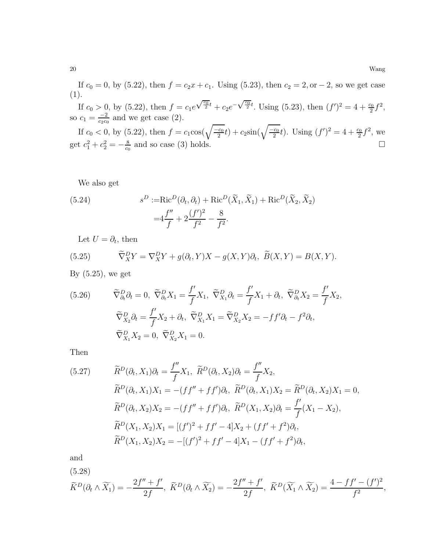If  $c_0 = 0$ , by (5.22), then  $f = c_2x + c_1$ . Using (5.23), then  $c_2 = 2$ , or  $-2$ , so we get case (1).

If  $c_0 > 0$ , by  $(5.22)$ , then  $f = c_1 e$  $\sqrt{\frac{c_0}{2}}t + c_2 e^{-\sqrt{\frac{c_0}{2}}t}$ . Using (5.23), then  $(f')^2 = 4 + \frac{c_0}{2}f^2$ , so  $c_1 = \frac{-2}{\cos \alpha}$  $\frac{-2}{c_2c_0}$  and we get case (2).

If  $c_0 < 0$ , by (5.22), then  $f = c_1 \cos(\sqrt{\frac{-c_0}{2}}t) + c_2 \sin(\sqrt{\frac{-c_0}{2}}t)$ . Using  $(f')^2 = 4 + \frac{c_0}{2}f^2$ , we get  $c_1^2 + c_2^2 = -\frac{8}{c_0}$  $\frac{8}{c_0}$  and so case (3) holds.

We also get

(5.24) 
$$
s^{D} := \text{Ric}^{D}(\partial_{t}, \partial_{t}) + \text{Ric}^{D}(\tilde{X}_{1}, \tilde{X}_{1}) + \text{Ric}^{D}(\tilde{X}_{2}, \tilde{X}_{2})
$$

$$
= 4\frac{f''}{f} + 2\frac{(f')^{2}}{f^{2}} - \frac{8}{f^{2}}.
$$

Let  $U = \partial_t$ , then

(5.25) 
$$
\widetilde{\nabla}_X^D Y = \nabla_X^D Y + g(\partial_t, Y)X - g(X, Y)\partial_t, \ \widetilde{B}(X, Y) = B(X, Y).
$$

By  $(5.25)$ , we get

(5.26) 
$$
\widetilde{\nabla}_{\partial_t}^D \partial_t = 0, \ \widetilde{\nabla}_{\partial_t}^D X_1 = \frac{f'}{f} X_1, \ \widetilde{\nabla}_{X_1}^D \partial_t = \frac{f'}{f} X_1 + \partial_t, \ \widetilde{\nabla}_{\partial_t}^D X_2 = \frac{f'}{f} X_2, \n\widetilde{\nabla}_{X_2}^D \partial_t = \frac{f'}{f} X_2 + \partial_t, \ \widetilde{\nabla}_{X_1}^D X_1 = \widetilde{\nabla}_{X_2}^D X_2 = -f f' \partial_t - f^2 \partial_t, \n\widetilde{\nabla}_{X_1}^D X_2 = 0, \ \widetilde{\nabla}_{X_2}^D X_1 = 0.
$$

Then

(5.27) 
$$
\widetilde{R}^{D}(\partial_{t}, X_{1})\partial_{t} = \frac{f''}{f}X_{1}, \ \widetilde{R}^{D}(\partial_{t}, X_{2})\partial_{t} = \frac{f''}{f}X_{2},
$$

$$
\widetilde{R}^{D}(\partial_{t}, X_{1})X_{1} = -(ff'' + ff')\partial_{t}, \ \widetilde{R}^{D}(\partial_{t}, X_{1})X_{2} = \widetilde{R}^{D}(\partial_{t}, X_{2})X_{1} = 0,
$$

$$
\widetilde{R}^{D}(\partial_{t}, X_{2})X_{2} = -(ff'' + ff')\partial_{t}, \ \widetilde{R}^{D}(X_{1}, X_{2})\partial_{t} = \frac{f'}{f}(X_{1} - X_{2}),
$$

$$
\widetilde{R}^{D}(X_{1}, X_{2})X_{1} = [(f')^{2} + ff' - 4]X_{2} + (ff' + f^{2})\partial_{t},
$$

$$
\widetilde{R}^{D}(X_{1}, X_{2})X_{2} = -[(f')^{2} + ff' - 4]X_{1} - (ff' + f^{2})\partial_{t},
$$

and

(5.28)

$$
\widetilde{K}^D(\partial_t \wedge \widetilde{X}_1) = -\frac{2f'' + f'}{2f}, \ \widetilde{K}^D(\partial_t \wedge \widetilde{X}_2) = -\frac{2f'' + f'}{2f}, \ \widetilde{K}^D(\widetilde{X}_1 \wedge \widetilde{X}_2) = \frac{4 - ff' - (f')^2}{f^2},
$$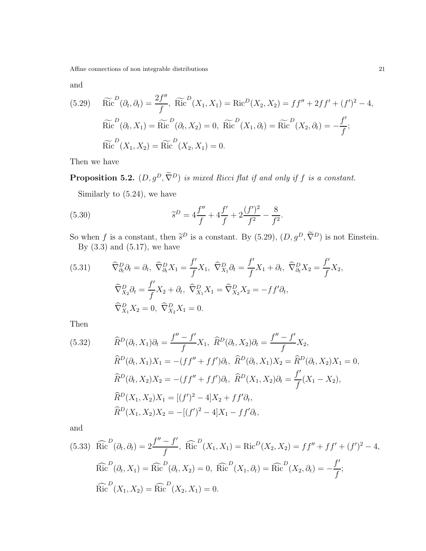and

(5.29) 
$$
\widetilde{Ric}^{D}(\partial_{t}, \partial_{t}) = \frac{2f''}{f}, \widetilde{Ric}^{D}(X_{1}, X_{1}) = \text{Ric}^{D}(X_{2}, X_{2}) = ff'' + 2ff' + (f')^{2} - 4,
$$
  
\n $\widetilde{Ric}^{D}(\partial_{t}, X_{1}) = \widetilde{Ric}^{D}(\partial_{t}, X_{2}) = 0, \widetilde{Ric}^{D}(X_{1}, \partial_{t}) = \widetilde{Ric}^{D}(X_{2}, \partial_{t}) = -\frac{f'}{f};$   
\n $\widetilde{Ric}^{D}(X_{1}, X_{2}) = \widetilde{Ric}^{D}(X_{2}, X_{1}) = 0.$ 

Then we have

**Proposition 5.2.**  $(D, g^D, \tilde{\nabla}^D)$  *is mixed Ricci flat if and only if* f *is a constant.* 

Similarly to (5.24), we have

(5.30) 
$$
\widetilde{s}^D = 4\frac{f''}{f} + 4\frac{f'}{f} + 2\frac{(f')^2}{f^2} - \frac{8}{f^2}.
$$

So when f is a constant, then  $\tilde{s}^D$  is a constant. By (5.29),  $(D, g^D, \nabla^D)$  is not Einstein. By  $(3.3)$  and  $(5.17)$ , we have

(5.31) 
$$
\widehat{\nabla}_{\partial_t}^D \partial_t = \partial_t, \ \widehat{\nabla}_{\partial_t}^D X_1 = \frac{f'}{f} X_1, \ \widehat{\nabla}_{X_1}^D \partial_t = \frac{f'}{f} X_1 + \partial_t, \ \widehat{\nabla}_{\partial_t}^D X_2 = \frac{f'}{f} X_2, \n\widehat{\nabla}_{X_2}^D \partial_t = \frac{f'}{f} X_2 + \partial_t, \ \widehat{\nabla}_{X_1}^D X_1 = \widehat{\nabla}_{X_2}^D X_2 = -f f' \partial_t, \n\widehat{\nabla}_{X_1}^D X_2 = 0, \ \widehat{\nabla}_{X_2}^D X_1 = 0.
$$

Then

(5.32) 
$$
\widehat{R}^{D}(\partial_{t}, X_{1})\partial_{t} = \frac{f'' - f'}{f}X_{1}, \ \widehat{R}^{D}(\partial_{t}, X_{2})\partial_{t} = \frac{f'' - f'}{f}X_{2},
$$

$$
\widehat{R}^{D}(\partial_{t}, X_{1})X_{1} = -(ff'' + ff')\partial_{t}, \ \widehat{R}^{D}(\partial_{t}, X_{1})X_{2} = \widehat{R}^{D}(\partial_{t}, X_{2})X_{1} = 0,
$$

$$
\widehat{R}^{D}(\partial_{t}, X_{2})X_{2} = -(ff'' + ff')\partial_{t}, \ \widehat{R}^{D}(X_{1}, X_{2})\partial_{t} = \frac{f'}{f}(X_{1} - X_{2}),
$$

$$
\widehat{R}^{D}(X_{1}, X_{2})X_{1} = [(f')^{2} - 4]X_{2} + ff'\partial_{t},
$$

$$
\widehat{R}^{D}(X_{1}, X_{2})X_{2} = -[(f')^{2} - 4]X_{1} - ff'\partial_{t},
$$

and

(5.33) 
$$
\widehat{Ric}^{D}(\partial_{t}, \partial_{t}) = 2 \frac{f'' - f'}{f}, \widehat{Ric}^{D}(X_{1}, X_{1}) = \text{Ric}^{D}(X_{2}, X_{2}) = ff'' + ff' + (f')^{2} - 4,
$$
  
\n $\widehat{Ric}^{D}(\partial_{t}, X_{1}) = \widehat{Ric}^{D}(\partial_{t}, X_{2}) = 0, \widehat{Ric}^{D}(X_{1}, \partial_{t}) = \widehat{Ric}^{D}(X_{2}, \partial_{t}) = -\frac{f'}{f};$   
\n $\widehat{Ric}^{D}(X_{1}, X_{2}) = \widehat{Ric}^{D}(X_{2}, X_{1}) = 0.$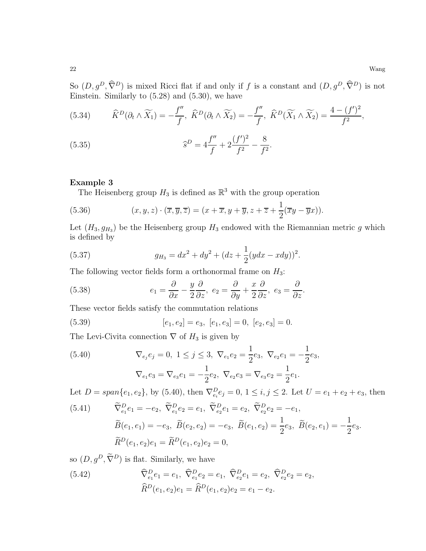So  $(D, g^D, \widehat{\nabla}^D)$  is mixed Ricci flat if and only if f is a constant and  $(D, g^D, \widehat{\nabla}^D)$  is not Einstein. Similarly to  $(5.28)$  and  $(5.30)$ , we have

(5.34) 
$$
\widehat{K}^D(\partial_t \wedge \widetilde{X}_1) = -\frac{f''}{f}, \ \widehat{K}^D(\partial_t \wedge \widetilde{X}_2) = -\frac{f''}{f}, \ \widehat{K}^D(\widetilde{X}_1 \wedge \widetilde{X}_2) = \frac{4 - (f')^2}{f^2},
$$

(5.35) 
$$
\widehat{s}^D = 4\frac{f''}{f} + 2\frac{(f')^2}{f^2} - \frac{8}{f^2}.
$$

#### Example 3

The Heisenberg group  $H_3$  is defined as  $\mathbb{R}^3$  with the group operation

(5.36) 
$$
(x, y, z) \cdot (\overline{x}, \overline{y}, \overline{z}) = (x + \overline{x}, y + \overline{y}, z + \overline{z} + \frac{1}{2}(\overline{x}y - \overline{y}x)).
$$

Let  $(H_3, g_{H_3})$  be the Heisenberg group  $H_3$  endowed with the Riemannian metric g which is defined by

(5.37) 
$$
g_{H_3} = dx^2 + dy^2 + (dz + \frac{1}{2}(ydx - xdy))^2.
$$

The following vector fields form a orthonormal frame on  $H_3$ :

(5.38) 
$$
e_1 = \frac{\partial}{\partial x} - \frac{y}{2} \frac{\partial}{\partial z}, \ e_2 = \frac{\partial}{\partial y} + \frac{x}{2} \frac{\partial}{\partial z}, \ e_3 = \frac{\partial}{\partial z}.
$$

These vector fields satisfy the commutation relations

(5.39) 
$$
[e_1, e_2] = e_3, [e_1, e_3] = 0, [e_2, e_3] = 0.
$$

The Levi-Civita connection  $\nabla$  of  $H_3$  is given by

(5.40) 
$$
\nabla_{e_j} e_j = 0, \ 1 \leq j \leq 3, \ \nabla_{e_1} e_2 = \frac{1}{2} e_3, \ \nabla_{e_2} e_1 = -\frac{1}{2} e_3,
$$

$$
\nabla_{e_1}e_3 = \nabla_{e_3}e_1 = -\frac{1}{2}e_2, \ \nabla_{e_2}e_3 = \nabla_{e_3}e_2 = \frac{1}{2}e_1.
$$

Let  $D = span\{e_1, e_2\}$ , by (5.40), then  $\nabla_{e_i}^D e_j = 0$ ,  $1 \le i, j \le 2$ . Let  $U = e_1 + e_2 + e_3$ , then

(5.41) 
$$
\widetilde{\nabla}_{e_1}^D e_1 = -e_2, \ \widetilde{\nabla}_{e_1}^D e_2 = e_1, \ \widetilde{\nabla}_{e_2}^D e_1 = e_2, \ \widetilde{\nabla}_{e_2}^D e_2 = -e_1,
$$

$$
\widetilde{B}(e_1, e_1) = -e_3, \ \widetilde{B}(e_2, e_2) = -e_3, \ \widetilde{B}(e_1, e_2) = \frac{1}{2}e_3, \ \widetilde{B}(e_2, e_1) = -\frac{1}{2}e_3.
$$

$$
\widetilde{R}^D(e_1, e_2)e_1 = \widetilde{R}^D(e_1, e_2)e_2 = 0,
$$

so  $(D, g^D, \widetilde{\nabla}^D)$  is flat. Similarly, we have

(5.42) 
$$
\widehat{\nabla}^{D}_{e_1} e_1 = e_1, \ \widehat{\nabla}^{D}_{e_1} e_2 = e_1, \ \widehat{\nabla}^{D}_{e_2} e_1 = e_2, \ \widehat{\nabla}^{D}_{e_2} e_2 = e_2, \n\widehat{R}^{D}(e_1, e_2)e_1 = \widehat{R}^{D}(e_1, e_2)e_2 = e_1 - e_2.
$$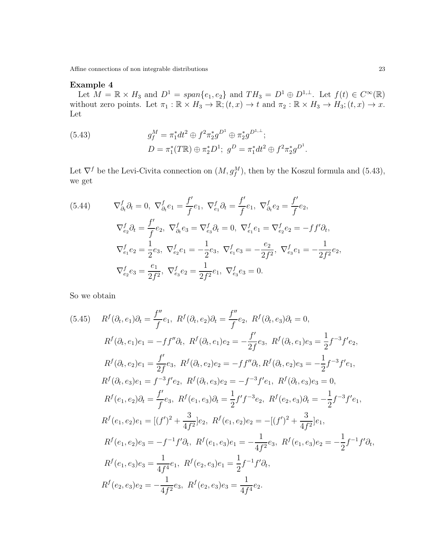## Example 4

Let  $M = \mathbb{R} \times H_3$  and  $D^1 = span\{e_1, e_2\}$  and  $TH_3 = D^1 \oplus D^{1,\perp}$ . Let  $f(t) \in C^{\infty}(\mathbb{R})$ without zero points. Let  $\pi_1 : \mathbb{R} \times H_3 \to \mathbb{R}$ ;  $(t, x) \to t$  and  $\pi_2 : \mathbb{R} \times H_3 \to H_3$ ;  $(t, x) \to x$ . Let

(5.43) 
$$
g_f^M = \pi_1^* dt^2 \oplus f^2 \pi_2^* g^{D^1} \oplus \pi_2^* g^{D^{1,\perp}};
$$

$$
D = \pi_1^*(T\mathbb{R}) \oplus \pi_2^* D^1; \ g^D = \pi_1^* dt^2 \oplus f^2 \pi_2^* g^{D^1}.
$$

Let  $\nabla^f$  be the Levi-Civita connection on  $(M, g_f^M)$ , then by the Koszul formula and (5.43), we get

(5.44) 
$$
\nabla_{\partial_t}^f \partial_t = 0, \nabla_{\partial_t}^f e_1 = \frac{f'}{f} e_1, \nabla_{e_1}^f \partial_t = \frac{f'}{f} e_1, \nabla_{\partial_t}^f e_2 = \frac{f'}{f} e_2,
$$

$$
\nabla_{e_2}^f \partial_t = \frac{f'}{f} e_2, \nabla_{\partial_t}^f e_3 = \nabla_{e_3}^f \partial_t = 0, \nabla_{e_1}^f e_1 = \nabla_{e_2}^f e_2 = -f f' \partial_t,
$$

$$
\nabla_{e_1}^f e_2 = \frac{1}{2} e_3, \nabla_{e_2}^f e_1 = -\frac{1}{2} e_3, \nabla_{e_1}^f e_3 = -\frac{e_2}{2f^2}, \nabla_{e_3}^f e_1 = -\frac{1}{2f^2} e_2,
$$

$$
\nabla_{e_2}^f e_3 = \frac{e_1}{2f^2}, \nabla_{e_3}^f e_2 = \frac{1}{2f^2} e_1, \nabla_{e_3}^f e_3 = 0.
$$

So we obtain

(5.45) 
$$
R^{f}(\partial_{t}, e_{1})\partial_{t} = \frac{f''}{f}e_{1}, R^{f}(\partial_{t}, e_{2})\partial_{t} = \frac{f''}{f}e_{2}, R^{f}(\partial_{t}, e_{3})\partial_{t} = 0,
$$
  
\n
$$
R^{f}(\partial_{t}, e_{1})e_{1} = -ff''\partial_{t}, R^{f}(\partial_{t}, e_{1})e_{2} = -\frac{f'}{2f}e_{3}, R^{f}(\partial_{t}, e_{1})e_{3} = \frac{1}{2}f^{-3}f'e_{2},
$$
  
\n
$$
R^{f}(\partial_{t}, e_{2})e_{1} = \frac{f'}{2f}e_{3}, R^{f}(\partial_{t}, e_{2})e_{2} = -ff''\partial_{t}, R^{f}(\partial_{t}, e_{2})e_{3} = -\frac{1}{2}f^{-3}f'e_{1},
$$
  
\n
$$
R^{f}(\partial_{t}, e_{3})e_{1} = f^{-3}f'e_{2}, R^{f}(\partial_{t}, e_{3})e_{2} = -f^{-3}f'e_{1}, R^{f}(\partial_{t}, e_{3})e_{3} = 0,
$$
  
\n
$$
R^{f}(e_{1}, e_{2})\partial_{t} = \frac{f'}{f}e_{3}, R^{f}(e_{1}, e_{3})\partial_{t} = \frac{1}{2}f'f^{-3}e_{2}, R^{f}(e_{2}, e_{3})\partial_{t} = -\frac{1}{2}f^{-3}f'e_{1},
$$
  
\n
$$
R^{f}(e_{1}, e_{2})e_{1} = [(f')^{2} + \frac{3}{4f^{2}}]e_{2}, R^{f}(e_{1}, e_{2})e_{2} = -[(f')^{2} + \frac{3}{4f^{2}}]e_{1},
$$
  
\n
$$
R^{f}(e_{1}, e_{2})e_{3} = -f^{-1}f'\partial_{t}, R^{f}(e_{1}, e_{3})e_{1} = -\frac{1}{4f^{2}}e_{3}, R^{f}(e_{1}, e_{3})e_{2} = -\frac{1}{2}f^{-1}f'\partial_{t},
$$
  
\n
$$
R^{f}(e_{1}, e_{3})e_{3} = \frac{1}{4f^{4}}e_{1}, R^{f}(e_{2}, e_{3})e_{1} = \frac{1}{
$$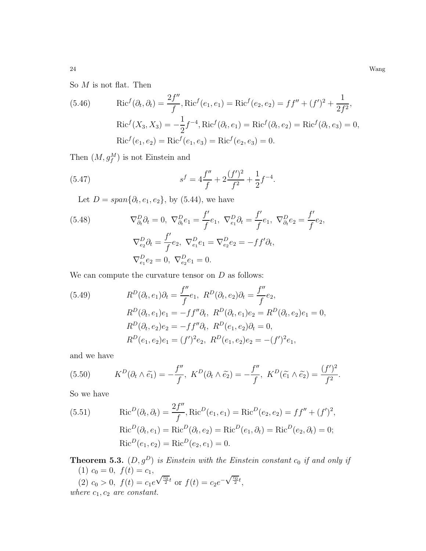24 Wang

So  $M$  is not flat. Then

(5.46) 
$$
Ric^{f}(\partial_{t}, \partial_{t}) = \frac{2f''}{f}, Ric^{f}(e_{1}, e_{1}) = Ric^{f}(e_{2}, e_{2}) = ff'' + (f')^{2} + \frac{1}{2f^{2}},
$$

$$
Ric^{f}(X_{3}, X_{3}) = -\frac{1}{2}f^{-4}, Ric^{f}(\partial_{t}, e_{1}) = Ric^{f}(\partial_{t}, e_{2}) = Ric^{f}(\partial_{t}, e_{3}) = 0,
$$

$$
Ric^{f}(e_{1}, e_{2}) = Ric^{f}(e_{1}, e_{3}) = Ric^{f}(e_{2}, e_{3}) = 0.
$$

Then  $(M, g_f^M)$  is not Einstein and

(5.47) 
$$
s^f = 4\frac{f''}{f} + 2\frac{(f')^2}{f^2} + \frac{1}{2}f^{-4}.
$$

Let  $D = span{\partial_t, e_1, e_2}$ , by (5.44), we have

(5.48) 
$$
\nabla_{\partial_t}^D \partial_t = 0, \ \nabla_{\partial_t}^D e_1 = \frac{f'}{f} e_1, \ \nabla_{e_1}^D \partial_t = \frac{f'}{f} e_1, \ \nabla_{\partial_t}^D e_2 = \frac{f'}{f} e_2, \n\nabla_{e_2}^D \partial_t = \frac{f'}{f} e_2, \ \nabla_{e_1}^D e_1 = \nabla_{e_2}^D e_2 = -f f' \partial_t, \n\nabla_{e_1}^D e_2 = 0, \ \nabla_{e_2}^D e_1 = 0.
$$

We can compute the curvature tensor on  $D$  as follows:

(5.49) 
$$
R^{D}(\partial_{t}, e_{1})\partial_{t} = \frac{f''}{f}e_{1}, \ R^{D}(\partial_{t}, e_{2})\partial_{t} = \frac{f''}{f}e_{2},
$$

$$
R^{D}(\partial_{t}, e_{1})e_{1} = -ff''\partial_{t}, \ R^{D}(\partial_{t}, e_{1})e_{2} = R^{D}(\partial_{t}, e_{2})e_{1} = 0,
$$

$$
R^{D}(\partial_{t}, e_{2})e_{2} = -ff''\partial_{t}, \ R^{D}(e_{1}, e_{2})\partial_{t} = 0,
$$

$$
R^{D}(e_{1}, e_{2})e_{1} = (f')^{2}e_{2}, \ R^{D}(e_{1}, e_{2})e_{2} = -(f')^{2}e_{1},
$$

and we have

(5.50) 
$$
K^D(\partial_t \wedge \tilde{e_1}) = -\frac{f''}{f}, \ K^D(\partial_t \wedge \tilde{e_2}) = -\frac{f''}{f}, \ K^D(\tilde{e_1} \wedge \tilde{e_2}) = \frac{(f')^2}{f^2}.
$$

So we have

(5.51) 
$$
Ric^{D}(\partial_{t}, \partial_{t}) = \frac{2f''}{f}, Ric^{D}(e_{1}, e_{1}) = Ric^{D}(e_{2}, e_{2}) = ff'' + (f')^{2},
$$

$$
Ric^{D}(\partial_{t}, e_{1}) = Ric^{D}(\partial_{t}, e_{2}) = Ric^{D}(e_{1}, \partial_{t}) = Ric^{D}(e_{2}, \partial_{t}) = 0;
$$

$$
Ric^{D}(e_{1}, e_{2}) = Ric^{D}(e_{2}, e_{1}) = 0.
$$

**Theorem 5.3.**  $(D, g^D)$  *is Einstein with the Einstein constant*  $c_0$  *if and only if* (1)  $c_0 = 0, f(t) = c_1,$  $(2)$   $c_0 > 0$ ,  $f(t) = c_1 e$  $\sqrt{\frac{c_0}{2}}t$  or  $f(t) = c_2 e^{-\sqrt{\frac{c_0}{2}}t}$ , *where*  $c_1$ ,  $c_2$  *are constant.*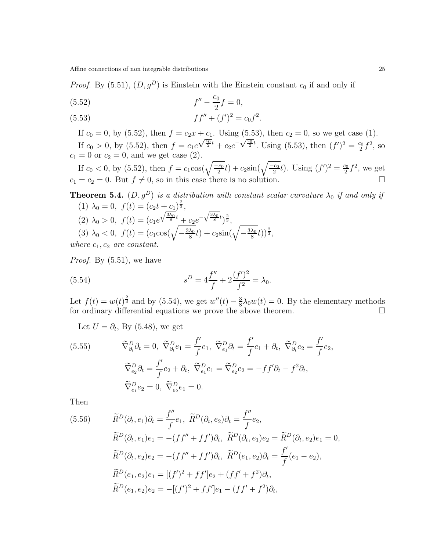*Proof.* By (5.51),  $(D, g^D)$  is Einstein with the Einstein constant  $c_0$  if and only if

(5.52) 
$$
f'' - \frac{c_0}{2}f = 0,
$$

(5.53) 
$$
ff'' + (f')^2 = c_0 f^2.
$$

If  $c_0 = 0$ , by (5.52), then  $f = c_2x + c_1$ . Using (5.53), then  $c_2 = 0$ , so we get case (1). If  $c_0 > 0$ , by  $(5.52)$ , then  $f = c_1 e$  $\sqrt{\frac{c_0}{2}}t + c_2e^{-\sqrt{\frac{c_0}{2}}t}$ . Using (5.53), then  $(f')^2 = \frac{c_0}{2}$ .  $rac{20}{2}f^2$ , so  $c_1 = 0$  or  $c_2 = 0$ , and we get case (2).

If  $c_0 < 0$ , by (5.52), then  $f = c_1 \cos(\sqrt{\frac{-c_0}{2}}t) + c_2 \sin(\sqrt{\frac{-c_0}{2}}t)$ . Using  $(f')^2 = \frac{c_0}{2}$  $\frac{20}{2}f^2$ , we get  $c_1 = c_2 = 0$ . But  $f \neq 0$ , so in this case there is no solution.

**Theorem 5.4.** 
$$
(D, g^D)
$$
 is a distribution with constant scalar curvature  $\lambda_0$  if and only if  
\n(1)  $\lambda_0 = 0$ ,  $f(t) = (c_2 t + c_1)^{\frac{2}{3}}$ ,  
\n(2)  $\lambda_0 > 0$ ,  $f(t) = (c_1 e^{\sqrt{\frac{3\lambda_0}{8}}t} + c_2 e^{-\sqrt{\frac{3\lambda_0}{8}}t})^{\frac{2}{3}}$ ,  
\n(3)  $\lambda_0 < 0$ ,  $f(t) = (c_1 \cos(\sqrt{-\frac{3\lambda_0}{8}}t) + c_2 \sin(\sqrt{-\frac{3\lambda_0}{8}}t))^{\frac{2}{3}}$ ,  
\nwhere  $c_1, c_2$  are constant.

*Proof.* By (5.51), we have

(5.54) 
$$
s^D = 4\frac{f''}{f} + 2\frac{(f')^2}{f^2} = \lambda_0.
$$

Let  $f(t) = w(t)^{\frac{2}{3}}$  and by (5.54), we get  $w''(t) - \frac{3}{8}$  $\frac{3}{8}\lambda_0 w(t) = 0$ . By the elementary methods for ordinary differential equations we prove the above theorem.  $\Box$ 

Let  $U = \partial_t$ , By (5.48), we get

(5.55) 
$$
\widetilde{\nabla}_{\partial_t}^D \partial_t = 0, \ \widetilde{\nabla}_{\partial_t}^D e_1 = \frac{f'}{f} e_1, \ \widetilde{\nabla}_{e_1}^D \partial_t = \frac{f'}{f} e_1 + \partial_t, \ \widetilde{\nabla}_{\partial_t}^D e_2 = \frac{f'}{f} e_2, \n\widetilde{\nabla}_{e_2}^D \partial_t = \frac{f'}{f} e_2 + \partial_t, \ \widetilde{\nabla}_{e_1}^D e_1 = \widetilde{\nabla}_{e_2}^D e_2 = -f f' \partial_t - f^2 \partial_t, \n\widetilde{\nabla}_{e_1}^D e_2 = 0, \ \widetilde{\nabla}_{e_2}^D e_1 = 0.
$$

Then

(5.56) 
$$
\widetilde{R}^{D}(\partial_{t}, e_{1})\partial_{t} = \frac{f''}{f}e_{1}, \ \widetilde{R}^{D}(\partial_{t}, e_{2})\partial_{t} = \frac{f''}{f}e_{2}, \n\widetilde{R}^{D}(\partial_{t}, e_{1})e_{1} = -(ff'' + ff')\partial_{t}, \ \widetilde{R}^{D}(\partial_{t}, e_{1})e_{2} = \widetilde{R}^{D}(\partial_{t}, e_{2})e_{1} = 0, \n\widetilde{R}^{D}(\partial_{t}, e_{2})e_{2} = -(ff'' + ff')\partial_{t}, \ \widetilde{R}^{D}(e_{1}, e_{2})\partial_{t} = \frac{f'}{f}(e_{1} - e_{2}), \n\widetilde{R}^{D}(e_{1}, e_{2})e_{1} = [(f')^{2} + ff']e_{2} + (ff' + f^{2})\partial_{t}, \n\widetilde{R}^{D}(e_{1}, e_{2})e_{2} = -[(f')^{2} + ff']e_{1} - (ff' + f^{2})\partial_{t},
$$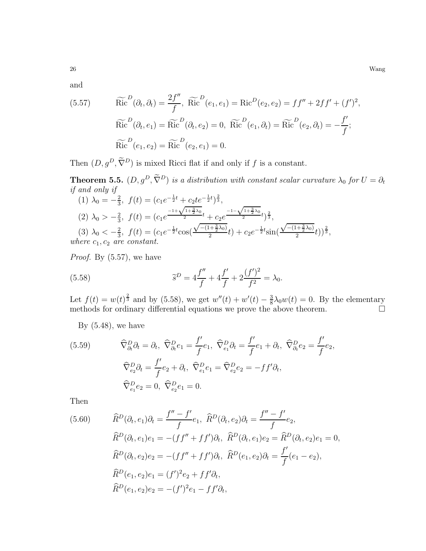and

(5.57) 
$$
\widetilde{\text{Ric}}^D(\partial_t, \partial_t) = \frac{2f''}{f}, \ \widetilde{\text{Ric}}^D(e_1, e_1) = \text{Ric}^D(e_2, e_2) = ff'' + 2ff' + (f')^2,
$$

$$
\widetilde{\text{Ric}}^D(\partial_t, e_1) = \widetilde{\text{Ric}}^D(\partial_t, e_2) = 0, \ \widetilde{\text{Ric}}^D(e_1, \partial_t) = \widetilde{\text{Ric}}^D(e_2, \partial_t) = -\frac{f'}{f};
$$

$$
\widetilde{\text{Ric}}^D(e_1, e_2) = \widetilde{\text{Ric}}^D(e_2, e_1) = 0.
$$

Then  $(D, g^D, \tilde{\nabla}^D)$  is mixed Ricci flat if and only if f is a constant.

**Theorem 5.5.**  $(D, g^D, \tilde{\nabla}^D)$  *is a distribution with constant scalar curvature*  $\lambda_0$  *for*  $U = \partial_t$ *if and only if*

(1) 
$$
\lambda_0 = -\frac{2}{3}
$$
,  $f(t) = (c_1 e^{-\frac{1}{2}t} + c_2 t e^{-\frac{1}{2}t})^{\frac{2}{3}}$ ,  
\n(2)  $\lambda_0 > -\frac{2}{3}$ ,  $f(t) = (c_1 e^{-\frac{1+\sqrt{1+\frac{3}{2}\lambda_0}}{2}t} + c_2 e^{-\frac{1-\sqrt{1+\frac{3}{2}\lambda_0}}{2}t})^{\frac{2}{3}}$ ,  
\n(3)  $\lambda_0 < -\frac{2}{3}$ ,  $f(t) = (c_1 e^{-\frac{1}{2}t} \cos(\frac{\sqrt{-(1+\frac{3}{2}\lambda_0)}}{2}t) + c_2 e^{-\frac{1}{2}t} \sin(\frac{\sqrt{-(1+\frac{3}{2}\lambda_0)}}{2}t))^{\frac{2}{3}}$ ,  
\nwhere  $c_1, c_2$  are constant.

*Proof.* By (5.57), we have

(5.58) 
$$
\widetilde{s}^D = 4\frac{f''}{f} + 4\frac{f'}{f} + 2\frac{(f')^2}{f^2} = \lambda_0.
$$

Let  $f(t) = w(t)^{\frac{2}{3}}$  and by (5.58), we get  $w''(t) + w'(t) - \frac{3}{8}$  $\frac{3}{8}\lambda_0 w(t) = 0$ . By the elementary methods for ordinary differential equations we prove the above theorem.  $\Box$ 

By  $(5.48)$ , we have

(5.59) 
$$
\widehat{\nabla}_{\partial_{t}}^{D} \partial_{t} = \partial_{t}, \ \widehat{\nabla}_{\partial_{t}}^{D} e_{1} = \frac{f'}{f} e_{1}, \ \widehat{\nabla}_{e_{1}}^{D} \partial_{t} = \frac{f'}{f} e_{1} + \partial_{t}, \ \widehat{\nabla}_{\partial_{t}}^{D} e_{2} = \frac{f'}{f} e_{2}, \n\widehat{\nabla}_{e_{2}}^{D} \partial_{t} = \frac{f'}{f} e_{2} + \partial_{t}, \ \widehat{\nabla}_{e_{1}}^{D} e_{1} = \widehat{\nabla}_{e_{2}}^{D} e_{2} = -f f' \partial_{t}, \n\widehat{\nabla}_{e_{1}}^{D} e_{2} = 0, \ \widehat{\nabla}_{e_{2}}^{D} e_{1} = 0.
$$

Then

(5.60) 
$$
\widehat{R}^{D}(\partial_{t}, e_{1})\partial_{t} = \frac{f'' - f'}{f}e_{1}, \ \widehat{R}^{D}(\partial_{t}, e_{2})\partial_{t} = \frac{f'' - f'}{f}e_{2},
$$

$$
\widehat{R}^{D}(\partial_{t}, e_{1})e_{1} = -(ff'' + ff')\partial_{t}, \ \widehat{R}^{D}(\partial_{t}, e_{1})e_{2} = \widehat{R}^{D}(\partial_{t}, e_{2})e_{1} = 0,
$$

$$
\widehat{R}^{D}(\partial_{t}, e_{2})e_{2} = -(ff'' + ff')\partial_{t}, \ \widehat{R}^{D}(e_{1}, e_{2})\partial_{t} = \frac{f'}{f}(e_{1} - e_{2}),
$$

$$
\widehat{R}^{D}(e_{1}, e_{2})e_{1} = (f')^{2}e_{2} + ff'\partial_{t},
$$

$$
\widehat{R}^{D}(e_{1}, e_{2})e_{2} = -(f')^{2}e_{1} - ff'\partial_{t},
$$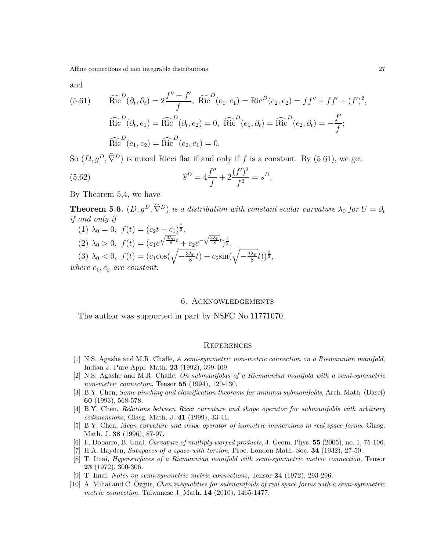and

(5.61) 
$$
\widehat{\text{Ric}}^{D}(\partial_{t}, \partial_{t}) = 2 \frac{f'' - f'}{f}, \widehat{\text{Ric}}^{D}(e_{1}, e_{1}) = \text{Ric}^{D}(e_{2}, e_{2}) = ff'' + ff' + (f')^{2},
$$

$$
\widehat{\text{Ric}}^{D}(\partial_{t}, e_{1}) = \widehat{\text{Ric}}^{D}(\partial_{t}, e_{2}) = 0, \widehat{\text{Ric}}^{D}(e_{1}, \partial_{t}) = \widehat{\text{Ric}}^{D}(e_{2}, \partial_{t}) = -\frac{f'}{f};
$$

$$
\widehat{\text{Ric}}^{D}(e_{1}, e_{2}) = \widehat{\text{Ric}}^{D}(e_{2}, e_{1}) = 0.
$$

So  $(D, g^D, \hat{\nabla}^D)$  is mixed Ricci flat if and only if f is a constant. By (5.61), we get

(5.62) 
$$
\widehat{s}^D = 4\frac{f''}{f} + 2\frac{(f')^2}{f^2} = s^D.
$$

By Theorem 5,4, we have

**Theorem 5.6.**  $(D, g^D, \hat{\nabla}^D)$  *is a distribution with constant scalar curvature*  $\lambda_0$  *for*  $U = \partial_t$ *if and only if*

- (1)  $\lambda_0 = 0, f(t) = (c_2 t + c_1)^{\frac{2}{3}},$ (2)  $\lambda_0 > 0$ ,  $f(t) = (c_1 e)$  $\sqrt{\frac{3\lambda_0}{8}}t + c_2e^{-\sqrt{\frac{3\lambda_0}{8}}t}i^{\frac{2}{3}},$
- (3)  $\lambda_0 < 0, f(t) = (c_1 \cos(\sqrt{-\frac{3\lambda_0}{8}}))$  $\frac{\lambda_0}{8}(t) + c_2 \sin(\sqrt{-\frac{3\lambda_0}{8}})$  $\frac{\lambda_0}{8}(t))^{\frac{2}{3}},$

*where*  $c_1$ ,  $c_2$  *are constant.* 

#### 6. Acknowledgements

The author was supported in part by NSFC No.11771070.

#### **REFERENCES**

- <span id="page-26-3"></span>[1] N.S. Agashe and M.R. Chafle, A semi-symmetric non-metric connection on a Riemannian manifold, Indian J. Pure Appl. Math. 23 (1992), 399-409.
- <span id="page-26-4"></span>[2] N.S. Agashe and M.R. Chafle, On submanifolds of a Riemannian manifold with a semi-symmetric non-metric connection, Tensor 55 (1994), 120-130.
- <span id="page-26-5"></span>[3] B.Y. Chen, Some pinching and classification theorems for minimal submanifolds, Arch. Math. (Basel) 60 (1993), 568-578.
- <span id="page-26-6"></span>[4] B.Y. Chen, Relations between Ricci curvature and shape operator for submanifolds with arbitrary codimensions, Glasg. Math. J. 41 (1999), 33-41.
- <span id="page-26-7"></span>[5] B.Y. Chen, Mean curvature and shape operator of isometric immersions in real space forms, Glasg. Math. J. 38 (1996), 87-97.
- <span id="page-26-9"></span><span id="page-26-0"></span>[6] F. Dobarro, B. Unal, Curvature of multiply warped products, J. Geom. Phys. 55 (2005), no. 1, 75-106.
- <span id="page-26-1"></span>[7] H.A. Hayden, Subspaces of a space with torsion, Proc. London Math. Soc. 34 (1932), 27-50.
- [8] T. Imai, Hypersurfaces of a Riemannian manifold with semi-symmetric metric connection, Tensor 23 (1972), 300-306.
- <span id="page-26-8"></span><span id="page-26-2"></span>[9] T. Imai, Notes on semi-symmetric metric connections, Tensor 24 (1972), 293-296.
- $[10]$  A. Mihai and C. Ozgür, *Chen inequalities for submanifolds of real space forms with a semi-symmetric* metric connection, Taiwanese J. Math. 14 (2010), 1465-1477.